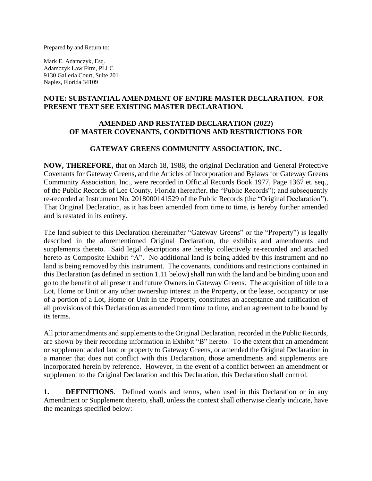Prepared by and Return to:

Mark E. Adamczyk, Esq. Adamczyk Law Firm, PLLC 9130 Galleria Court, Suite 201 Naples, Florida 34109

### **NOTE: SUBSTANTIAL AMENDMENT OF ENTIRE MASTER DECLARATION. FOR PRESENT TEXT SEE EXISTING MASTER DECLARATION.**

### **AMENDED AND RESTATED DECLARATION (2022) OF MASTER COVENANTS, CONDITIONS AND RESTRICTIONS FOR**

### **GATEWAY GREENS COMMUNITY ASSOCIATION, INC.**

**NOW, THEREFORE,** that on March 18, 1988, the original Declaration and General Protective Covenants for Gateway Greens, and the Articles of Incorporation and Bylaws for Gateway Greens Community Association, Inc., were recorded in Official Records Book 1977, Page 1367 et. seq., of the Public Records of Lee County, Florida (hereafter, the "Public Records"); and subsequently re-recorded at Instrument No. 2018000141529 of the Public Records (the "Original Declaration"). That Original Declaration, as it has been amended from time to time, is hereby further amended and is restated in its entirety.

The land subject to this Declaration (hereinafter "Gateway Greens" or the "Property") is legally described in the aforementioned Original Declaration, the exhibits and amendments and supplements thereto. Said legal descriptions are hereby collectively re-recorded and attached hereto as Composite Exhibit "A". No additional land is being added by this instrument and no land is being removed by this instrument. The covenants, conditions and restrictions contained in this Declaration (as defined in section 1.11 below) shall run with the land and be binding upon and go to the benefit of all present and future Owners in Gateway Greens. The acquisition of title to a Lot, Home or Unit or any other ownership interest in the Property, or the lease, occupancy or use of a portion of a Lot, Home or Unit in the Property, constitutes an acceptance and ratification of all provisions of this Declaration as amended from time to time, and an agreement to be bound by its terms.

All prior amendments and supplements to the Original Declaration, recorded in the Public Records, are shown by their recording information in Exhibit "B" hereto. To the extent that an amendment or supplement added land or property to Gateway Greens, or amended the Original Declaration in a manner that does not conflict with this Declaration, those amendments and supplements are incorporated herein by reference. However, in the event of a conflict between an amendment or supplement to the Original Declaration and this Declaration, this Declaration shall control.

**1. DEFINITIONS**. Defined words and terms, when used in this Declaration or in any Amendment or Supplement thereto, shall, unless the context shall otherwise clearly indicate, have the meanings specified below: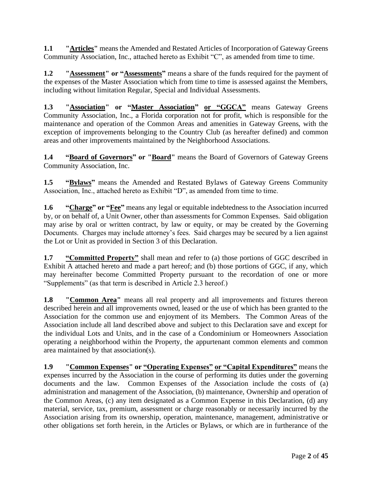**1.1 "Articles"** means the Amended and Restated Articles of Incorporation of Gateway Greens Community Association, Inc., attached hereto as Exhibit "C", as amended from time to time.

**1.2 "Assessment" or "Assessments"** means a share of the funds required for the payment of the expenses of the Master Association which from time to time is assessed against the Members, including without limitation Regular, Special and Individual Assessments.

**1.3 "Association" or "Master Association" or "GGCA"** means Gateway Greens Community Association, Inc., a Florida corporation not for profit, which is responsible for the maintenance and operation of the Common Areas and amenities in Gateway Greens, with the exception of improvements belonging to the Country Club (as hereafter defined) and common areas and other improvements maintained by the Neighborhood Associations.

**1.4 "Board of Governors" or "Board"** means the Board of Governors of Gateway Greens Community Association, Inc.

**1.5 "Bylaws"** means the Amended and Restated Bylaws of Gateway Greens Community Association, Inc., attached hereto as Exhibit "D", as amended from time to time.

**1.6 "Charge" or "Fee"** means any legal or equitable indebtedness to the Association incurred by, or on behalf of, a Unit Owner, other than assessments for Common Expenses. Said obligation may arise by oral or written contract, by law or equity, or may be created by the Governing Documents. Charges may include attorney's fees. Said charges may be secured by a lien against the Lot or Unit as provided in Section 3 of this Declaration.

**1.7 "Committed Property"** shall mean and refer to (a) those portions of GGC described in Exhibit A attached hereto and made a part hereof; and (b) those portions of GGC, if any, which may hereinafter become Committed Property pursuant to the recordation of one or more "Supplements" (as that term is described in Article 2.3 hereof.)

**1.8 "Common Area"** means all real property and all improvements and fixtures thereon described herein and all improvements owned, leased or the use of which has been granted to the Association for the common use and enjoyment of its Members. The Common Areas of the Association include all land described above and subject to this Declaration save and except for the individual Lots and Units, and in the case of a Condominium or Homeowners Association operating a neighborhood within the Property, the appurtenant common elements and common area maintained by that association(s).

**1.9 "Common Expenses" or "Operating Expenses" or "Capital Expenditures"** means the expenses incurred by the Association in the course of performing its duties under the governing documents and the law. Common Expenses of the Association include the costs of (a) administration and management of the Association, (b) maintenance, Ownership and operation of the Common Areas, (c) any item designated as a Common Expense in this Declaration, (d) any material, service, tax, premium, assessment or charge reasonably or necessarily incurred by the Association arising from its ownership, operation, maintenance, management, administrative or other obligations set forth herein, in the Articles or Bylaws, or which are in furtherance of the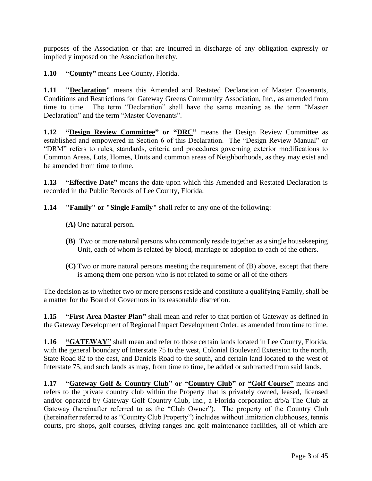purposes of the Association or that are incurred in discharge of any obligation expressly or impliedly imposed on the Association hereby.

**1.10 "County"** means Lee County, Florida.

**1.11 "Declaration"** means this Amended and Restated Declaration of Master Covenants, Conditions and Restrictions for Gateway Greens Community Association, Inc., as amended from time to time. The term "Declaration" shall have the same meaning as the term "Master Declaration" and the term "Master Covenants".

**1.12 "Design Review Committee" or "DRC"** means the Design Review Committee as established and empowered in Section 6 of this Declaration. The "Design Review Manual" or "DRM" refers to rules, standards, criteria and procedures governing exterior modifications to Common Areas, Lots, Homes, Units and common areas of Neighborhoods, as they may exist and be amended from time to time.

**1.13 "Effective Date"** means the date upon which this Amended and Restated Declaration is recorded in the Public Records of Lee County, Florida.

**1.14 "Family" or "Single Family"** shall refer to any one of the following:

- **(A)** One natural person.
- **(B)** Two or more natural persons who commonly reside together as a single housekeeping Unit, each of whom is related by blood, marriage or adoption to each of the others.
- **(C)** Two or more natural persons meeting the requirement of (B) above, except that there is among them one person who is not related to some or all of the others

The decision as to whether two or more persons reside and constitute a qualifying Family, shall be a matter for the Board of Governors in its reasonable discretion.

**1.15 "First Area Master Plan"** shall mean and refer to that portion of Gateway as defined in the Gateway Development of Regional Impact Development Order, as amended from time to time.

**1.16 "GATEWAY"** shall mean and refer to those certain lands located in Lee County, Florida, with the general boundary of Interstate 75 to the west, Colonial Boulevard Extension to the north, State Road 82 to the east, and Daniels Road to the south, and certain land located to the west of Interstate 75, and such lands as may, from time to time, be added or subtracted from said lands.

**1.17 "Gateway Golf & Country Club" or "Country Club" or "Golf Course"** means and refers to the private country club within the Property that is privately owned, leased, licensed and/or operated by Gateway Golf Country Club, Inc., a Florida corporation d/b/a The Club at Gateway (hereinafter referred to as the "Club Owner"). The property of the Country Club (hereinafter referred to as "Country Club Property") includes without limitation clubhouses, tennis courts, pro shops, golf courses, driving ranges and golf maintenance facilities, all of which are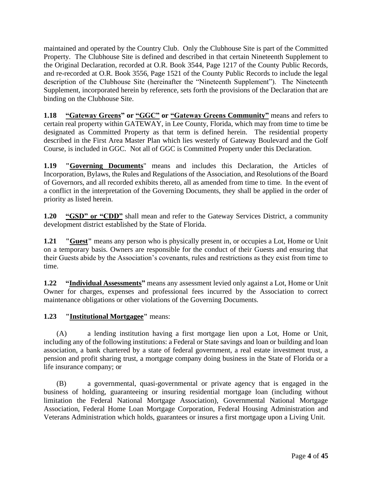maintained and operated by the Country Club. Only the Clubhouse Site is part of the Committed Property. The Clubhouse Site is defined and described in that certain Nineteenth Supplement to the Original Declaration, recorded at O.R. Book 3544, Page 1217 of the County Public Records, and re-recorded at O.R. Book 3556, Page 1521 of the County Public Records to include the legal description of the Clubhouse Site (hereinafter the "Nineteenth Supplement"). The Nineteenth Supplement, incorporated herein by reference, sets forth the provisions of the Declaration that are binding on the Clubhouse Site.

**1.18 "Gateway Greens" or "GGC" or "Gateway Greens Community"** means and refers to certain real property within GATEWAY, in Lee County, Florida, which may from time to time be designated as Committed Property as that term is defined herein. The residential property described in the First Area Master Plan which lies westerly of Gateway Boulevard and the Golf Course, is included in GGC. Not all of GGC is Committed Property under this Declaration.

**1.19 "Governing Documents**" means and includes this Declaration, the Articles of Incorporation, Bylaws, the Rules and Regulations of the Association, and Resolutions of the Board of Governors, and all recorded exhibits thereto, all as amended from time to time. In the event of a conflict in the interpretation of the Governing Documents, they shall be applied in the order of priority as listed herein.

**1.20 "GSD" or "CDD"** shall mean and refer to the Gateway Services District, a community development district established by the State of Florida.

**1.21 "Guest"** means any person who is physically present in, or occupies a Lot, Home or Unit on a temporary basis. Owners are responsible for the conduct of their Guests and ensuring that their Guests abide by the Association's covenants, rules and restrictions as they exist from time to time.

**1.22 "Individual Assessments"** means any assessment levied only against a Lot, Home or Unit Owner for charges, expenses and professional fees incurred by the Association to correct maintenance obligations or other violations of the Governing Documents.

**1.23 "Institutional Mortgagee"** means:

(A) a lending institution having a first mortgage lien upon a Lot, Home or Unit, including any of the following institutions: a Federal or State savings and loan or building and loan association, a bank chartered by a state of federal government, a real estate investment trust, a pension and profit sharing trust, a mortgage company doing business in the State of Florida or a life insurance company; or

(B) a governmental, quasi-governmental or private agency that is engaged in the business of holding, guaranteeing or insuring residential mortgage loan (including without limitation the Federal National Mortgage Association), Governmental National Mortgage Association, Federal Home Loan Mortgage Corporation, Federal Housing Administration and Veterans Administration which holds, guarantees or insures a first mortgage upon a Living Unit.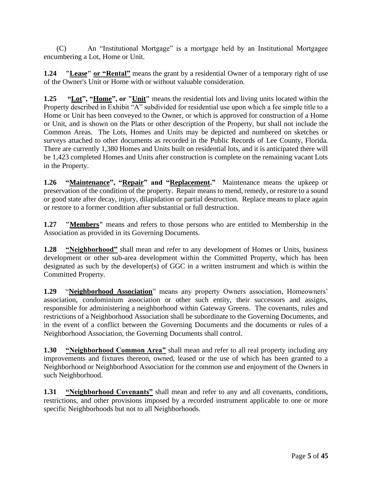(C) An "Institutional Mortgage" is a mortgage held by an Institutional Mortgagee encumbering a Lot, Home or Unit.

**1.24 "Lease" or "Rental"** means the grant by a residential Owner of a temporary right of use of the Owner's Unit or Home with or without valuable consideration.

**1.25 "Lot", "Home", or "Unit"** means the residential lots and living units located within the Property described in Exhibit "A" subdivided for residential use upon which a fee simple title to a Home or Unit has been conveyed to the Owner, or which is approved for construction of a Home or Unit, and is shown on the Plats or other description of the Property, but shall not include the Common Areas. The Lots, Homes and Units may be depicted and numbered on sketches or surveys attached to other documents as recorded in the Public Records of Lee County, Florida. There are currently 1,380 Homes and Units built on residential lots, and it is anticipated there will be 1,423 completed Homes and Units after construction is complete on the remaining vacant Lots in the Property.

**1.26 "Maintenance", "Repair" and "Replacement."** Maintenance means the upkeep or preservation of the condition of the property. Repair means to mend, remedy, or restore to a sound or good state after decay, injury, dilapidation or partial destruction. Replace means to place again or restore to a former condition after substantial or full destruction.

**1.27 "Members"** means and refers to those persons who are entitled to Membership in the Association as provided in its Governing Documents.

**1.28 "Neighborhood"** shall mean and refer to any development of Homes or Units, business development or other sub-area development within the Committed Property, which has been designated as such by the developer(s) of GGC in a written instrument and which is within the Committed Property.

**1.29** "**Neighborhood Association**" means any property Owners association, Homeowners' association, condominium association or other such entity, their successors and assigns, responsible for administering a neighborhood within Gateway Greens. The covenants, rules and restrictions of a Neighborhood Association shall be subordinate to the Governing Documents, and in the event of a conflict between the Governing Documents and the documents or rules of a Neighborhood Association, the Governing Documents shall control.

**1.30 "Neighborhood Common Area"** shall mean and refer to all real property including any improvements and fixtures thereon, owned, leased or the use of which has been granted to a Neighborhood or Neighborhood Association for the common use and enjoyment of the Owners in such Neighborhood.

**1.31 "Neighborhood Covenants"** shall mean and refer to any and all covenants, conditions, restrictions, and other provisions imposed by a recorded instrument applicable to one or more specific Neighborhoods but not to all Neighborhoods.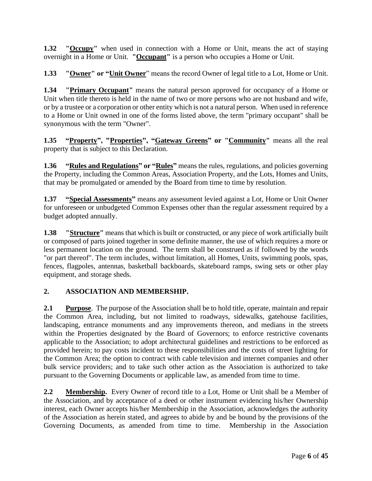**1.32 "Occupy"** when used in connection with a Home or Unit, means the act of staying overnight in a Home or Unit. **"Occupant"** is a person who occupies a Home or Unit.

**1.33 "Owner" or "Unit Owner**" means the record Owner of legal title to a Lot, Home or Unit.

**1.34 "Primary Occupant"** means the natural person approved for occupancy of a Home or Unit when title thereto is held in the name of two or more persons who are not husband and wife, or by a trustee or a corporation or other entity which is not a natural person. When used in reference to a Home or Unit owned in one of the forms listed above, the term "primary occupant" shall be synonymous with the term "Owner".

**1.35 "Property", "Properties", "Gateway Greens" or "Community"** means all the real property that is subject to this Declaration.

**1.36 "Rules and Regulations" or "Rules"** means the rules, regulations, and policies governing the Property, including the Common Areas, Association Property, and the Lots, Homes and Units, that may be promulgated or amended by the Board from time to time by resolution.

**1.37 "Special Assessments"** means any assessment levied against a Lot, Home or Unit Owner for unforeseen or unbudgeted Common Expenses other than the regular assessment required by a budget adopted annually.

**1.38 "Structure"** means that which is built or constructed, or any piece of work artificially built or composed of parts joined together in some definite manner, the use of which requires a more or less permanent location on the ground. The term shall be construed as if followed by the words "or part thereof". The term includes, without limitation, all Homes, Units, swimming pools, spas, fences, flagpoles, antennas, basketball backboards, skateboard ramps, swing sets or other play equipment, and storage sheds.

## **2. ASSOCIATION AND MEMBERSHIP.**

**2.1 Purpose**. The purpose of the Association shall be to hold title, operate, maintain and repair the Common Area, including, but not limited to roadways, sidewalks, gatehouse facilities, landscaping, entrance monuments and any improvements thereon, and medians in the streets within the Properties designated by the Board of Governors; to enforce restrictive covenants applicable to the Association; to adopt architectural guidelines and restrictions to be enforced as provided herein; to pay costs incident to these responsibilities and the costs of street lighting for the Common Area; the option to contract with cable television and internet companies and other bulk service providers; and to take such other action as the Association is authorized to take pursuant to the Governing Documents or applicable law, as amended from time to time.

**2.2 Membership.** Every Owner of record title to a Lot, Home or Unit shall be a Member of the Association, and by acceptance of a deed or other instrument evidencing his/her Ownership interest, each Owner accepts his/her Membership in the Association, acknowledges the authority of the Association as herein stated, and agrees to abide by and be bound by the provisions of the Governing Documents, as amended from time to time. Membership in the Association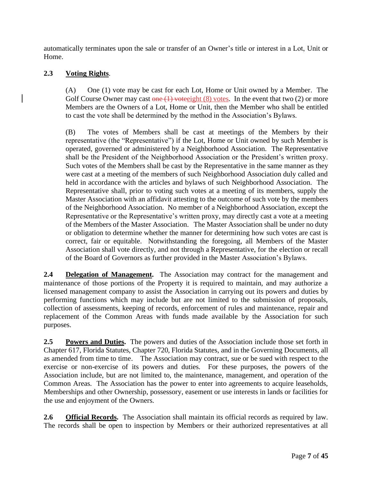automatically terminates upon the sale or transfer of an Owner's title or interest in a Lot, Unit or Home.

# **2.3 Voting Rights**.

(A) One (1) vote may be cast for each Lot, Home or Unit owned by a Member. The Golf Course Owner may cast one  $(1)$  vote ight  $(8)$  votes. In the event that two  $(2)$  or more Members are the Owners of a Lot, Home or Unit, then the Member who shall be entitled to cast the vote shall be determined by the method in the Association's Bylaws.

(B) The votes of Members shall be cast at meetings of the Members by their representative (the "Representative") if the Lot, Home or Unit owned by such Member is operated, governed or administered by a Neighborhood Association. The Representative shall be the President of the Neighborhood Association or the President's written proxy. Such votes of the Members shall be cast by the Representative in the same manner as they were cast at a meeting of the members of such Neighborhood Association duly called and held in accordance with the articles and bylaws of such Neighborhood Association. The Representative shall, prior to voting such votes at a meeting of its members, supply the Master Association with an affidavit attesting to the outcome of such vote by the members of the Neighborhood Association. No member of a Neighborhood Association, except the Representative or the Representative's written proxy, may directly cast a vote at a meeting of the Members of the Master Association. The Master Association shall be under no duty or obligation to determine whether the manner for determining how such votes are cast is correct, fair or equitable. Notwithstanding the foregoing, all Members of the Master Association shall vote directly, and not through a Representative, for the election or recall of the Board of Governors as further provided in the Master Association's Bylaws.

**2.4 Delegation of Management.** The Association may contract for the management and maintenance of those portions of the Property it is required to maintain, and may authorize a licensed management company to assist the Association in carrying out its powers and duties by performing functions which may include but are not limited to the submission of proposals, collection of assessments, keeping of records, enforcement of rules and maintenance, repair and replacement of the Common Areas with funds made available by the Association for such purposes.

**2.5 Powers and Duties.** The powers and duties of the Association include those set forth in Chapter 617, Florida Statutes, Chapter 720, Florida Statutes, and in the Governing Documents, all as amended from time to time. The Association may contract, sue or be sued with respect to the exercise or non-exercise of its powers and duties. For these purposes, the powers of the Association include, but are not limited to, the maintenance, management, and operation of the Common Areas. The Association has the power to enter into agreements to acquire leaseholds, Memberships and other Ownership, possessory, easement or use interests in lands or facilities for the use and enjoyment of the Owners.

**2.6 Official Records.** The Association shall maintain its official records as required by law. The records shall be open to inspection by Members or their authorized representatives at all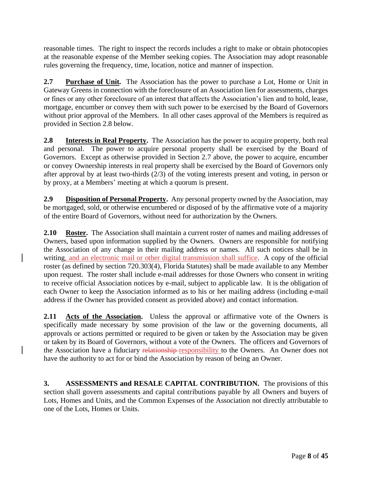reasonable times. The right to inspect the records includes a right to make or obtain photocopies at the reasonable expense of the Member seeking copies. The Association may adopt reasonable rules governing the frequency, time, location, notice and manner of inspection.

**2.7 Purchase of Unit.** The Association has the power to purchase a Lot, Home or Unit in Gateway Greens in connection with the foreclosure of an Association lien for assessments, charges or fines or any other foreclosure of an interest that affects the Association's lien and to hold, lease, mortgage, encumber or convey them with such power to be exercised by the Board of Governors without prior approval of the Members. In all other cases approval of the Members is required as provided in Section 2.8 below.

**2.8 Interests in Real Property.** The Association has the power to acquire property, both real and personal. The power to acquire personal property shall be exercised by the Board of Governors. Except as otherwise provided in Section 2.7 above, the power to acquire, encumber or convey Ownership interests in real property shall be exercised by the Board of Governors only after approval by at least two-thirds (2/3) of the voting interests present and voting, in person or by proxy, at a Members' meeting at which a quorum is present.

**2.9 Disposition of Personal Property.** Any personal property owned by the Association, may be mortgaged, sold, or otherwise encumbered or disposed of by the affirmative vote of a majority of the entire Board of Governors, without need for authorization by the Owners.

**2.10 Roster.** The Association shall maintain a current roster of names and mailing addresses of Owners, based upon information supplied by the Owners. Owners are responsible for notifying the Association of any change in their mailing address or names. All such notices shall be in writing, and an electronic mail or other digital transmission shall suffice. A copy of the official roster (as defined by section 720.303(4), Florida Statutes) shall be made available to any Member upon request. The roster shall include e-mail addresses for those Owners who consent in writing to receive official Association notices by e-mail, subject to applicable law. It is the obligation of each Owner to keep the Association informed as to his or her mailing address (including e-mail address if the Owner has provided consent as provided above) and contact information.

**2.11 Acts of the Association.** Unless the approval or affirmative vote of the Owners is specifically made necessary by some provision of the law or the governing documents, all approvals or actions permitted or required to be given or taken by the Association may be given or taken by its Board of Governors, without a vote of the Owners. The officers and Governors of the Association have a fiduciary relationship-responsibility to the Owners. An Owner does not have the authority to act for or bind the Association by reason of being an Owner.

**3. ASSESSMENTS and RESALE CAPITAL CONTRIBUTION.** The provisions of this section shall govern assessments and capital contributions payable by all Owners and buyers of Lots, Homes and Units, and the Common Expenses of the Association not directly attributable to one of the Lots, Homes or Units.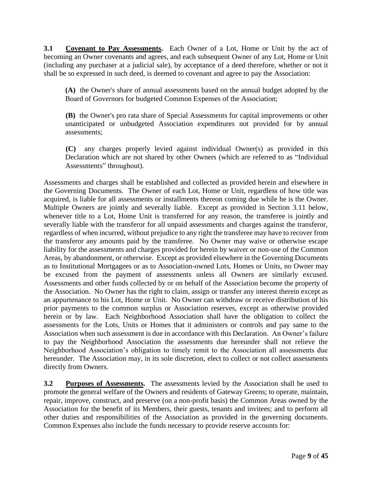**3.1 Covenant to Pay Assessments.** Each Owner of a Lot, Home or Unit by the act of becoming an Owner covenants and agrees, and each subsequent Owner of any Lot, Home or Unit (including any purchaser at a judicial sale), by acceptance of a deed therefore, whether or not it shall be so expressed in such deed, is deemed to covenant and agree to pay the Association:

**(A)** the Owner's share of annual assessments based on the annual budget adopted by the Board of Governors for budgeted Common Expenses of the Association;

**(B)** the Owner's pro rata share of Special Assessments for capital improvements or other unanticipated or unbudgeted Association expenditures not provided for by annual assessments;

**(C)** any charges properly levied against individual Owner(s) as provided in this Declaration which are not shared by other Owners (which are referred to as "Individual Assessments" throughout).

Assessments and charges shall be established and collected as provided herein and elsewhere in the Governing Documents. The Owner of each Lot, Home or Unit, regardless of how title was acquired, is liable for all assessments or installments thereon coming due while he is the Owner. Multiple Owners are jointly and severally liable. Except as provided in Section 3.11 below, whenever title to a Lot, Home Unit is transferred for any reason, the transferee is jointly and severally liable with the transferor for all unpaid assessments and charges against the transferor, regardless of when incurred, without prejudice to any right the transferee may have to recover from the transferor any amounts paid by the transferee. No Owner may waive or otherwise escape liability for the assessments and charges provided for herein by waiver or non-use of the Common Areas, by abandonment, or otherwise. Except as provided elsewhere in the Governing Documents as to Institutional Mortgagees or as to Association-owned Lots, Homes or Units, no Owner may be excused from the payment of assessments unless all Owners are similarly excused. Assessments and other funds collected by or on behalf of the Association become the property of the Association. No Owner has the right to claim, assign or transfer any interest therein except as an appurtenance to his Lot, Home or Unit. No Owner can withdraw or receive distribution of his prior payments to the common surplus or Association reserves, except as otherwise provided herein or by law. Each Neighborhood Association shall have the obligation to collect the assessments for the Lots, Units or Homes that it administers or controls and pay same to the Association when such assessment is due in accordance with this Declaration. An Owner's failure to pay the Neighborhood Association the assessments due hereunder shall not relieve the Neighborhood Association's obligation to timely remit to the Association all assessments due hereunder. The Association may, in its sole discretion, elect to collect or not collect assessments directly from Owners.

**3.2 Purposes of Assessments.** The assessments levied by the Association shall be used to promote the general welfare of the Owners and residents of Gateway Greens; to operate, maintain, repair, improve, construct, and preserve (on a non-profit basis) the Common Areas owned by the Association for the benefit of its Members, their guests, tenants and invitees; and to perform all other duties and responsibilities of the Association as provided in the governing documents. Common Expenses also include the funds necessary to provide reserve accounts for: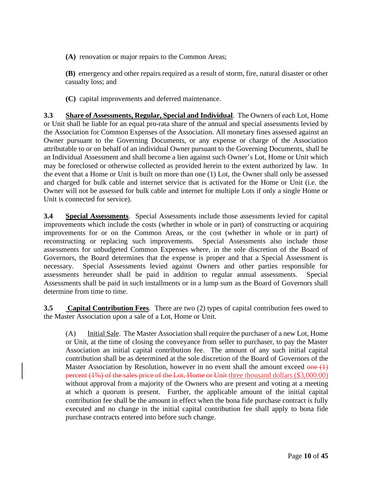**(A)** renovation or major repairs to the Common Areas;

**(B)** emergency and other repairs required as a result of storm, fire, natural disaster or other casualty loss; and

**(C)** capital improvements and deferred maintenance.

**3.3 Share of Assessments, Regular, Special and Individual**. The Owners of each Lot, Home or Unit shall be liable for an equal pro-rata share of the annual and special assessments levied by the Association for Common Expenses of the Association. All monetary fines assessed against an Owner pursuant to the Governing Documents, or any expense or charge of the Association attributable to or on behalf of an individual Owner pursuant to the Governing Documents, shall be an Individual Assessment and shall become a lien against such Owner's Lot, Home or Unit which may be foreclosed or otherwise collected as provided herein to the extent authorized by law. In the event that a Home or Unit is built on more than one (1) Lot, the Owner shall only be assessed and charged for bulk cable and internet service that is activated for the Home or Unit (i.e. the Owner will not be assessed for bulk cable and internet for multiple Lots if only a single Home or Unit is connected for service).

**3.4 Special Assessments**. Special Assessments include those assessments levied for capital improvements which include the costs (whether in whole or in part) of constructing or acquiring improvements for or on the Common Areas, or the cost (whether in whole or in part) of reconstructing or replacing such improvements. Special Assessments also include those assessments for unbudgeted Common Expenses where, in the sole discretion of the Board of Governors, the Board determines that the expense is proper and that a Special Assessment is necessary. Special Assessments levied against Owners and other parties responsible for assessments hereunder shall be paid in addition to regular annual assessments. Special Assessments shall be paid in such installments or in a lump sum as the Board of Governors shall determine from time to time.

**3.5** Capital Contribution Fees. There are two (2) types of capital contribution fees owed to the Master Association upon a sale of a Lot, Home or Unit.

(A) Initial Sale. The Master Association shall require the purchaser of a new Lot, Home or Unit, at the time of closing the conveyance from seller to purchaser, to pay the Master Association an initial capital contribution fee. The amount of any such initial capital contribution shall be as determined at the sole discretion of the Board of Governors of the Master Association by Resolution, however in no event shall the amount exceed  $\theta$ percent (1%) of the sales price of the Lot, Home or Unit three thousand dollars (\$3,000.00) without approval from a majority of the Owners who are present and voting at a meeting at which a quorum is present. Further, the applicable amount of the initial capital contribution fee shall be the amount in effect when the bona fide purchase contract is fully executed and no change in the initial capital contribution fee shall apply to bona fide purchase contracts entered into before such change.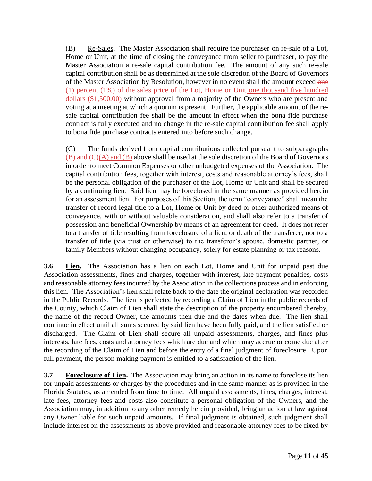(B) Re-Sales. The Master Association shall require the purchaser on re-sale of a Lot, Home or Unit, at the time of closing the conveyance from seller to purchaser, to pay the Master Association a re-sale capital contribution fee. The amount of any such re-sale capital contribution shall be as determined at the sole discretion of the Board of Governors of the Master Association by Resolution, however in no event shall the amount exceed one (1) percent (1%) of the sales price of the Lot, Home or Unit one thousand five hundred dollars (\$1,500.00) without approval from a majority of the Owners who are present and voting at a meeting at which a quorum is present. Further, the applicable amount of the resale capital contribution fee shall be the amount in effect when the bona fide purchase contract is fully executed and no change in the re-sale capital contribution fee shall apply to bona fide purchase contracts entered into before such change.

(C) The funds derived from capital contributions collected pursuant to subparagraphs  $(B)$  and  $(C)$  (A) and (B) above shall be used at the sole discretion of the Board of Governors in order to meet Common Expenses or other unbudgeted expenses of the Association. The capital contribution fees, together with interest, costs and reasonable attorney's fees, shall be the personal obligation of the purchaser of the Lot, Home or Unit and shall be secured by a continuing lien. Said lien may be foreclosed in the same manner as provided herein for an assessment lien. For purposes of this Section, the term "conveyance" shall mean the transfer of record legal title to a Lot, Home or Unit by deed or other authorized means of conveyance, with or without valuable consideration, and shall also refer to a transfer of possession and beneficial Ownership by means of an agreement for deed. It does not refer to a transfer of title resulting from foreclosure of a lien, or death of the transferee, nor to a transfer of title (via trust or otherwise) to the transferor's spouse, domestic partner, or family Members without changing occupancy, solely for estate planning or tax reasons.

**3.6 Lien.** The Association has a lien on each Lot, Home and Unit for unpaid past due Association assessments, fines and charges, together with interest, late payment penalties, costs and reasonable attorney fees incurred by the Association in the collections process and in enforcing this lien. The Association's lien shall relate back to the date the original declaration was recorded in the Public Records. The lien is perfected by recording a Claim of Lien in the public records of the County, which Claim of Lien shall state the description of the property encumbered thereby, the name of the record Owner, the amounts then due and the dates when due. The lien shall continue in effect until all sums secured by said lien have been fully paid, and the lien satisfied or discharged. The Claim of Lien shall secure all unpaid assessments, charges, and fines plus interests, late fees, costs and attorney fees which are due and which may accrue or come due after the recording of the Claim of Lien and before the entry of a final judgment of foreclosure. Upon full payment, the person making payment is entitled to a satisfaction of the lien.

**3.7 Foreclosure of Lien.** The Association may bring an action in its name to foreclose its lien for unpaid assessments or charges by the procedures and in the same manner as is provided in the Florida Statutes, as amended from time to time. All unpaid assessments, fines, charges, interest, late fees, attorney fees and costs also constitute a personal obligation of the Owners, and the Association may, in addition to any other remedy herein provided, bring an action at law against any Owner liable for such unpaid amounts. If final judgment is obtained, such judgment shall include interest on the assessments as above provided and reasonable attorney fees to be fixed by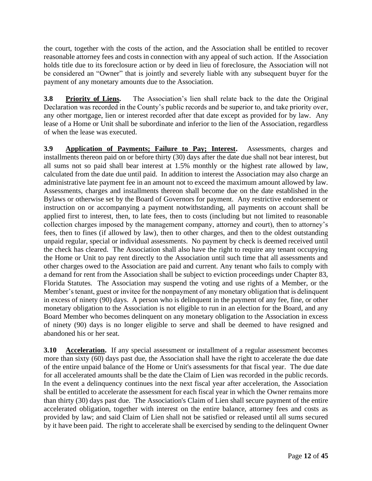the court, together with the costs of the action, and the Association shall be entitled to recover reasonable attorney fees and costs in connection with any appeal of such action. If the Association holds title due to its foreclosure action or by deed in lieu of foreclosure, the Association will not be considered an "Owner" that is jointly and severely liable with any subsequent buyer for the payment of any monetary amounts due to the Association.

**3.8 Priority of Liens.** The Association's lien shall relate back to the date the Original Declaration was recorded in the County's public records and be superior to, and take priority over, any other mortgage, lien or interest recorded after that date except as provided for by law. Any lease of a Home or Unit shall be subordinate and inferior to the lien of the Association, regardless of when the lease was executed.

**3.9 Application of Payments; Failure to Pay; Interest.** Assessments, charges and installments thereon paid on or before thirty (30) days after the date due shall not bear interest, but all sums not so paid shall bear interest at 1.5% monthly or the highest rate allowed by law, calculated from the date due until paid. In addition to interest the Association may also charge an administrative late payment fee in an amount not to exceed the maximum amount allowed by law. Assessments, charges and installments thereon shall become due on the date established in the Bylaws or otherwise set by the Board of Governors for payment. Any restrictive endorsement or instruction on or accompanying a payment notwithstanding, all payments on account shall be applied first to interest, then, to late fees, then to costs (including but not limited to reasonable collection charges imposed by the management company, attorney and court), then to attorney's fees, then to fines (if allowed by law), then to other charges, and then to the oldest outstanding unpaid regular, special or individual assessments. No payment by check is deemed received until the check has cleared. The Association shall also have the right to require any tenant occupying the Home or Unit to pay rent directly to the Association until such time that all assessments and other charges owed to the Association are paid and current. Any tenant who fails to comply with a demand for rent from the Association shall be subject to eviction proceedings under Chapter 83, Florida Statutes. The Association may suspend the voting and use rights of a Member, or the Member's tenant, guest or invitee for the nonpayment of any monetary obligation that is delinquent in excess of ninety (90) days. A person who is delinquent in the payment of any fee, fine, or other monetary obligation to the Association is not eligible to run in an election for the Board, and any Board Member who becomes delinquent on any monetary obligation to the Association in excess of ninety (90) days is no longer eligible to serve and shall be deemed to have resigned and abandoned his or her seat.

**3.10 Acceleration.** If any special assessment or installment of a regular assessment becomes more than sixty (60) days past due, the Association shall have the right to accelerate the due date of the entire unpaid balance of the Home or Unit's assessments for that fiscal year. The due date for all accelerated amounts shall be the date the Claim of Lien was recorded in the public records. In the event a delinquency continues into the next fiscal year after acceleration, the Association shall be entitled to accelerate the assessment for each fiscal year in which the Owner remains more than thirty (30) days past due. The Association's Claim of Lien shall secure payment of the entire accelerated obligation, together with interest on the entire balance, attorney fees and costs as provided by law; and said Claim of Lien shall not be satisfied or released until all sums secured by it have been paid. The right to accelerate shall be exercised by sending to the delinquent Owner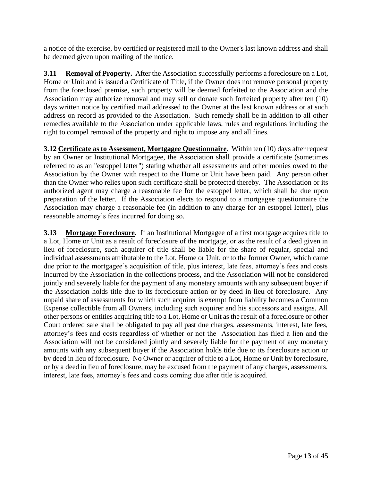a notice of the exercise, by certified or registered mail to the Owner's last known address and shall be deemed given upon mailing of the notice.

**3.11 Removal of Property.** After the Association successfully performs a foreclosure on a Lot, Home or Unit and is issued a Certificate of Title, if the Owner does not remove personal property from the foreclosed premise, such property will be deemed forfeited to the Association and the Association may authorize removal and may sell or donate such forfeited property after ten (10) days written notice by certified mail addressed to the Owner at the last known address or at such address on record as provided to the Association. Such remedy shall be in addition to all other remedies available to the Association under applicable laws, rules and regulations including the right to compel removal of the property and right to impose any and all fines.

**3.12 Certificate as to Assessment, Mortgagee Questionnaire.** Within ten (10) days after request by an Owner or Institutional Mortgagee, the Association shall provide a certificate (sometimes referred to as an "estoppel letter") stating whether all assessments and other monies owed to the Association by the Owner with respect to the Home or Unit have been paid. Any person other than the Owner who relies upon such certificate shall be protected thereby. The Association or its authorized agent may charge a reasonable fee for the estoppel letter, which shall be due upon preparation of the letter. If the Association elects to respond to a mortgagee questionnaire the Association may charge a reasonable fee (in addition to any charge for an estoppel letter), plus reasonable attorney's fees incurred for doing so.

**3.13 Mortgage Foreclosure.** If an Institutional Mortgagee of a first mortgage acquires title to a Lot, Home or Unit as a result of foreclosure of the mortgage, or as the result of a deed given in lieu of foreclosure, such acquirer of title shall be liable for the share of regular, special and individual assessments attributable to the Lot, Home or Unit, or to the former Owner, which came due prior to the mortgagee's acquisition of title, plus interest, late fees, attorney's fees and costs incurred by the Association in the collections process, and the Association will not be considered jointly and severely liable for the payment of any monetary amounts with any subsequent buyer if the Association holds title due to its foreclosure action or by deed in lieu of foreclosure. Any unpaid share of assessments for which such acquirer is exempt from liability becomes a Common Expense collectible from all Owners, including such acquirer and his successors and assigns. All other persons or entities acquiring title to a Lot, Home or Unit as the result of a foreclosure or other Court ordered sale shall be obligated to pay all past due charges, assessments, interest, late fees, attorney's fees and costs regardless of whether or not the Association has filed a lien and the Association will not be considered jointly and severely liable for the payment of any monetary amounts with any subsequent buyer if the Association holds title due to its foreclosure action or by deed in lieu of foreclosure. No Owner or acquirer of title to a Lot, Home or Unit by foreclosure, or by a deed in lieu of foreclosure, may be excused from the payment of any charges, assessments, interest, late fees, attorney's fees and costs coming due after title is acquired.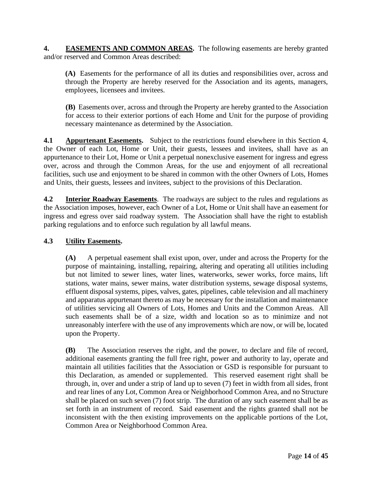**4. EASEMENTS AND COMMON AREAS.** The following easements are hereby granted and/or reserved and Common Areas described:

**(A)** Easements for the performance of all its duties and responsibilities over, across and through the Property are hereby reserved for the Association and its agents, managers, employees, licensees and invitees.

**(B)** Easements over, across and through the Property are hereby granted to the Association for access to their exterior portions of each Home and Unit for the purpose of providing necessary maintenance as determined by the Association.

**4.1 Appurtenant Easements.** Subject to the restrictions found elsewhere in this Section 4, the Owner of each Lot, Home or Unit, their guests, lessees and invitees, shall have as an appurtenance to their Lot, Home or Unit a perpetual nonexclusive easement for ingress and egress over, across and through the Common Areas, for the use and enjoyment of all recreational facilities, such use and enjoyment to be shared in common with the other Owners of Lots, Homes and Units, their guests, lessees and invitees, subject to the provisions of this Declaration.

**4.2 Interior Roadway Easements**. The roadways are subject to the rules and regulations as the Association imposes, however, each Owner of a Lot, Home or Unit shall have an easement for ingress and egress over said roadway system. The Association shall have the right to establish parking regulations and to enforce such regulation by all lawful means.

## **4.3 Utility Easements.**

**(A)** A perpetual easement shall exist upon, over, under and across the Property for the purpose of maintaining, installing, repairing, altering and operating all utilities including but not limited to sewer lines, water lines, waterworks, sewer works, force mains, lift stations, water mains, sewer mains, water distribution systems, sewage disposal systems, effluent disposal systems, pipes, valves, gates, pipelines, cable television and all machinery and apparatus appurtenant thereto as may be necessary for the installation and maintenance of utilities servicing all Owners of Lots, Homes and Units and the Common Areas. All such easements shall be of a size, width and location so as to minimize and not unreasonably interfere with the use of any improvements which are now, or will be, located upon the Property.

**(B)** The Association reserves the right, and the power, to declare and file of record, additional easements granting the full free right, power and authority to lay, operate and maintain all utilities facilities that the Association or GSD is responsible for pursuant to this Declaration, as amended or supplemented. This reserved easement right shall be through, in, over and under a strip of land up to seven (7) feet in width from all sides, front and rear lines of any Lot, Common Area or Neighborhood Common Area, and no Structure shall be placed on such seven (7) foot strip. The duration of any such easement shall be as set forth in an instrument of record. Said easement and the rights granted shall not be inconsistent with the then existing improvements on the applicable portions of the Lot, Common Area or Neighborhood Common Area.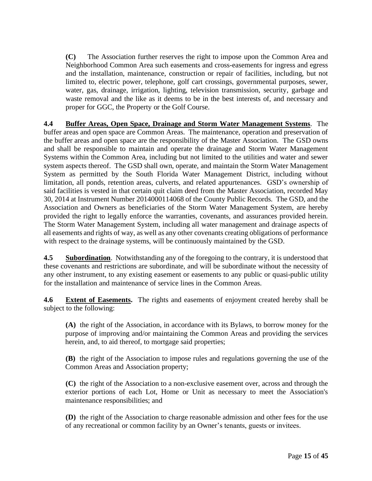**(C)** The Association further reserves the right to impose upon the Common Area and Neighborhood Common Area such easements and cross-easements for ingress and egress and the installation, maintenance, construction or repair of facilities, including, but not limited to, electric power, telephone, golf cart crossings, governmental purposes, sewer, water, gas, drainage, irrigation, lighting, television transmission, security, garbage and waste removal and the like as it deems to be in the best interests of, and necessary and proper for GGC, the Property or the Golf Course.

**4.4 Buffer Areas, Open Space, Drainage and Storm Water Management Systems**. The buffer areas and open space are Common Areas. The maintenance, operation and preservation of the buffer areas and open space are the responsibility of the Master Association. The GSD owns and shall be responsible to maintain and operate the drainage and Storm Water Management Systems within the Common Area, including but not limited to the utilities and water and sewer system aspects thereof. The GSD shall own, operate, and maintain the Storm Water Management System as permitted by the South Florida Water Management District, including without limitation, all ponds, retention areas, culverts, and related appurtenances. GSD's ownership of said facilities is vested in that certain quit claim deed from the Master Association, recorded May 30, 2014 at Instrument Number 2014000114068 of the County Public Records. The GSD, and the Association and Owners as beneficiaries of the Storm Water Management System, are hereby provided the right to legally enforce the warranties, covenants, and assurances provided herein. The Storm Water Management System, including all water management and drainage aspects of all easements and rights of way, as well as any other covenants creating obligations of performance with respect to the drainage systems, will be continuously maintained by the GSD.

**4.5 Subordination**. Notwithstanding any of the foregoing to the contrary, it is understood that these covenants and restrictions are subordinate, and will be subordinate without the necessity of any other instrument, to any existing easement or easements to any public or quasi-public utility for the installation and maintenance of service lines in the Common Areas.

**4.6 Extent of Easements.** The rights and easements of enjoyment created hereby shall be subject to the following:

**(A)** the right of the Association, in accordance with its Bylaws, to borrow money for the purpose of improving and/or maintaining the Common Areas and providing the services herein, and, to aid thereof, to mortgage said properties;

**(B)** the right of the Association to impose rules and regulations governing the use of the Common Areas and Association property;

**(C)** the right of the Association to a non-exclusive easement over, across and through the exterior portions of each Lot, Home or Unit as necessary to meet the Association's maintenance responsibilities; and

**(D)** the right of the Association to charge reasonable admission and other fees for the use of any recreational or common facility by an Owner's tenants, guests or invitees.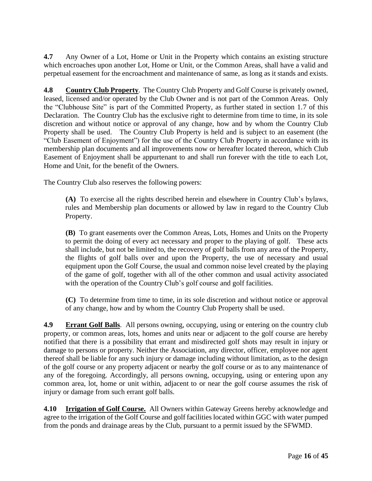**4.7** Any Owner of a Lot, Home or Unit in the Property which contains an existing structure which encroaches upon another Lot, Home or Unit, or the Common Areas, shall have a valid and perpetual easement for the encroachment and maintenance of same, as long as it stands and exists.

**4.8 Country Club Property**. The Country Club Property and Golf Course is privately owned, leased, licensed and/or operated by the Club Owner and is not part of the Common Areas. Only the "Clubhouse Site" is part of the Committed Property, as further stated in section 1.7 of this Declaration. The Country Club has the exclusive right to determine from time to time, in its sole discretion and without notice or approval of any change, how and by whom the Country Club Property shall be used. The Country Club Property is held and is subject to an easement (the "Club Easement of Enjoyment") for the use of the Country Club Property in accordance with its membership plan documents and all improvements now or hereafter located thereon, which Club Easement of Enjoyment shall be appurtenant to and shall run forever with the title to each Lot, Home and Unit, for the benefit of the Owners.

The Country Club also reserves the following powers:

**(A)** To exercise all the rights described herein and elsewhere in Country Club's bylaws, rules and Membership plan documents or allowed by law in regard to the Country Club Property.

**(B)** To grant easements over the Common Areas, Lots, Homes and Units on the Property to permit the doing of every act necessary and proper to the playing of golf. These acts shall include, but not be limited to, the recovery of golf balls from any area of the Property, the flights of golf balls over and upon the Property, the use of necessary and usual equipment upon the Golf Course, the usual and common noise level created by the playing of the game of golf, together with all of the other common and usual activity associated with the operation of the Country Club's golf course and golf facilities.

**(C)** To determine from time to time, in its sole discretion and without notice or approval of any change, how and by whom the Country Club Property shall be used.

**4.9 Errant Golf Balls**. All persons owning, occupying, using or entering on the country club property, or common areas, lots, homes and units near or adjacent to the golf course are hereby notified that there is a possibility that errant and misdirected golf shots may result in injury or damage to persons or property. Neither the Association, any director, officer, employee nor agent thereof shall be liable for any such injury or damage including without limitation, as to the design of the golf course or any property adjacent or nearby the golf course or as to any maintenance of any of the foregoing. Accordingly, all persons owning, occupying, using or entering upon any common area, lot, home or unit within, adjacent to or near the golf course assumes the risk of injury or damage from such errant golf balls.

**4.10 Irrigation of Golf Course.** All Owners within Gateway Greens hereby acknowledge and agree to the irrigation of the Golf Course and golf facilities located within GGC with water pumped from the ponds and drainage areas by the Club, pursuant to a permit issued by the SFWMD.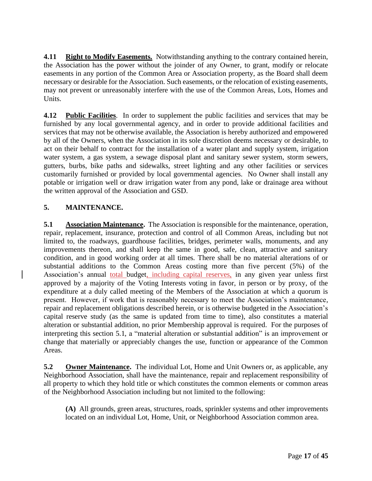**4.11 Right to Modify Easements.** Notwithstanding anything to the contrary contained herein, the Association has the power without the joinder of any Owner, to grant, modify or relocate easements in any portion of the Common Area or Association property, as the Board shall deem necessary or desirable for the Association. Such easements, or the relocation of existing easements, may not prevent or unreasonably interfere with the use of the Common Areas, Lots, Homes and Units.

**4.12 Public Facilities**. In order to supplement the public facilities and services that may be furnished by any local governmental agency, and in order to provide additional facilities and services that may not be otherwise available, the Association is hereby authorized and empowered by all of the Owners, when the Association in its sole discretion deems necessary or desirable, to act on their behalf to contract for the installation of a water plant and supply system, irrigation water system, a gas system, a sewage disposal plant and sanitary sewer system, storm sewers, gutters, burbs, bike paths and sidewalks, street lighting and any other facilities or services customarily furnished or provided by local governmental agencies. No Owner shall install any potable or irrigation well or draw irrigation water from any pond, lake or drainage area without the written approval of the Association and GSD.

# **5. MAINTENANCE.**

**5.1 Association Maintenance.** The Association is responsible for the maintenance, operation, repair, replacement, insurance, protection and control of all Common Areas, including but not limited to, the roadways, guardhouse facilities, bridges, perimeter walls, monuments, and any improvements thereon, and shall keep the same in good, safe, clean, attractive and sanitary condition, and in good working order at all times. There shall be no material alterations of or substantial additions to the Common Areas costing more than five percent (5%) of the Association's annual total budget, including capital reserves, in any given year unless first approved by a majority of the Voting Interests voting in favor, in person or by proxy, of the expenditure at a duly called meeting of the Members of the Association at which a quorum is present. However, if work that is reasonably necessary to meet the Association's maintenance, repair and replacement obligations described herein, or is otherwise budgeted in the Association's capital reserve study (as the same is updated from time to time), also constitutes a material alteration or substantial addition, no prior Membership approval is required. For the purposes of interpreting this section 5.1, a "material alteration or substantial addition" is an improvement or change that materially or appreciably changes the use, function or appearance of the Common Areas.

**5.2 Owner Maintenance.** The individual Lot, Home and Unit Owners or, as applicable, any Neighborhood Association, shall have the maintenance, repair and replacement responsibility of all property to which they hold title or which constitutes the common elements or common areas of the Neighborhood Association including but not limited to the following:

**(A)** All grounds, green areas, structures, roads, sprinkler systems and other improvements located on an individual Lot, Home, Unit, or Neighborhood Association common area.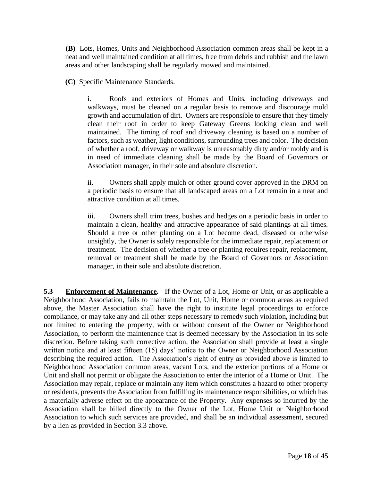**(B)** Lots, Homes, Units and Neighborhood Association common areas shall be kept in a neat and well maintained condition at all times, free from debris and rubbish and the lawn areas and other landscaping shall be regularly mowed and maintained.

**(C)** Specific Maintenance Standards.

i. Roofs and exteriors of Homes and Units, including driveways and walkways, must be cleaned on a regular basis to remove and discourage mold growth and accumulation of dirt. Owners are responsible to ensure that they timely clean their roof in order to keep Gateway Greens looking clean and well maintained. The timing of roof and driveway cleaning is based on a number of factors, such as weather, light conditions, surrounding trees and color. The decision of whether a roof, driveway or walkway is unreasonably dirty and/or moldy and is in need of immediate cleaning shall be made by the Board of Governors or Association manager, in their sole and absolute discretion.

ii. Owners shall apply mulch or other ground cover approved in the DRM on a periodic basis to ensure that all landscaped areas on a Lot remain in a neat and attractive condition at all times.

iii. Owners shall trim trees, bushes and hedges on a periodic basis in order to maintain a clean, healthy and attractive appearance of said plantings at all times. Should a tree or other planting on a Lot become dead, diseased or otherwise unsightly, the Owner is solely responsible for the immediate repair, replacement or treatment. The decision of whether a tree or planting requires repair, replacement, removal or treatment shall be made by the Board of Governors or Association manager, in their sole and absolute discretion.

**5.3 Enforcement of Maintenance.** If the Owner of a Lot, Home or Unit, or as applicable a Neighborhood Association, fails to maintain the Lot, Unit, Home or common areas as required above, the Master Association shall have the right to institute legal proceedings to enforce compliance, or may take any and all other steps necessary to remedy such violation, including but not limited to entering the property, with or without consent of the Owner or Neighborhood Association, to perform the maintenance that is deemed necessary by the Association in its sole discretion. Before taking such corrective action, the Association shall provide at least a single written notice and at least fifteen (15) days' notice to the Owner or Neighborhood Association describing the required action. The Association's right of entry as provided above is limited to Neighborhood Association common areas, vacant Lots, and the exterior portions of a Home or Unit and shall not permit or obligate the Association to enter the interior of a Home or Unit. The Association may repair, replace or maintain any item which constitutes a hazard to other property or residents, prevents the Association from fulfilling its maintenance responsibilities, or which has a materially adverse effect on the appearance of the Property. Any expenses so incurred by the Association shall be billed directly to the Owner of the Lot, Home Unit or Neighborhood Association to which such services are provided, and shall be an individual assessment, secured by a lien as provided in Section 3.3 above.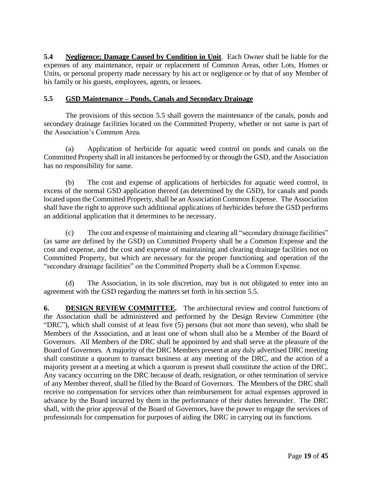**5.4 Negligence; Damage Caused by Condition in Unit**. Each Owner shall be liable for the expenses of any maintenance, repair or replacement of Common Areas, other Lots, Homes or Units, or personal property made necessary by his act or negligence or by that of any Member of his family or his guests, employees, agents, or lessees.

### **5.5 GSD Maintenance – Ponds, Canals and Secondary Drainage**

The provisions of this section 5.5 shall govern the maintenance of the canals, ponds and secondary drainage facilities located on the Committed Property, whether or not same is part of the Association's Common Area.

(a) Application of herbicide for aquatic weed control on ponds and canals on the Committed Property shall in all instances be performed by or through the GSD, and the Association has no responsibility for same.

(b) The cost and expense of applications of herbicides for aquatic weed control, in excess of the normal GSD application thereof (as determined by the GSD), for canals and ponds located upon the Committed Property, shall be an Association Common Expense. The Association shall have the right to approve such additional applications of herbicides before the GSD performs an additional application that it determines to be necessary.

(c) The cost and expense of maintaining and clearing all "secondary drainage facilities" (as same are defined by the GSD) on Committed Property shall be a Common Expense and the cost and expense, and the cost and expense of maintaining and clearing drainage facilities not on Committed Property, but which are necessary for the proper functioning and operation of the "secondary drainage facilities" on the Committed Property shall be a Common Expense.

(d) The Association, in its sole discretion, may but is not obligated to enter into an agreement with the GSD regarding the matters set forth in his section 5.5.

**6. DESIGN REVIEW COMMITTEE.** The architectural review and control functions of the Association shall be administered and performed by the Design Review Committee (the "DRC"), which shall consist of at least five (5) persons (but not more than seven), who shall be Members of the Association, and at least one of whom shall also be a Member of the Board of Governors. All Members of the DRC shall be appointed by and shall serve at the pleasure of the Board of Governors. A majority of the DRC Members present at any duly advertised DRC meeting shall constitute a quorum to transact business at any meeting of the DRC, and the action of a majority present at a meeting at which a quorum is present shall constitute the action of the DRC. Any vacancy occurring on the DRC because of death, resignation, or other termination of service of any Member thereof, shall be filled by the Board of Governors. The Members of the DRC shall receive no compensation for services other than reimbursement for actual expenses approved in advance by the Board incurred by them in the performance of their duties hereunder. The DRC shall, with the prior approval of the Board of Governors, have the power to engage the services of professionals for compensation for purposes of aiding the DRC in carrying out its functions.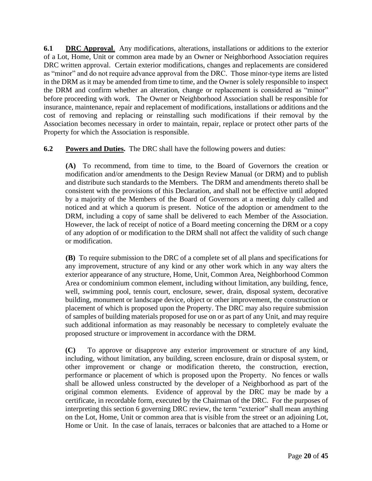**6.1 DRC Approval**. Any modifications, alterations, installations or additions to the exterior of a Lot, Home, Unit or common area made by an Owner or Neighborhood Association requires DRC written approval. Certain exterior modifications, changes and replacements are considered as "minor" and do not require advance approval from the DRC. Those minor-type items are listed in the DRM as it may be amended from time to time, and the Owner is solely responsible to inspect the DRM and confirm whether an alteration, change or replacement is considered as "minor" before proceeding with work. The Owner or Neighborhood Association shall be responsible for insurance, maintenance, repair and replacement of modifications, installations or additions and the cost of removing and replacing or reinstalling such modifications if their removal by the Association becomes necessary in order to maintain, repair, replace or protect other parts of the Property for which the Association is responsible.

**6.2 Powers and Duties.** The DRC shall have the following powers and duties:

**(A)** To recommend, from time to time, to the Board of Governors the creation or modification and/or amendments to the Design Review Manual (or DRM) and to publish and distribute such standards to the Members. The DRM and amendments thereto shall be consistent with the provisions of this Declaration, and shall not be effective until adopted by a majority of the Members of the Board of Governors at a meeting duly called and noticed and at which a quorum is present. Notice of the adoption or amendment to the DRM, including a copy of same shall be delivered to each Member of the Association. However, the lack of receipt of notice of a Board meeting concerning the DRM or a copy of any adoption of or modification to the DRM shall not affect the validity of such change or modification.

**(B)** To require submission to the DRC of a complete set of all plans and specifications for any improvement, structure of any kind or any other work which in any way alters the exterior appearance of any structure, Home, Unit, Common Area, Neighborhood Common Area or condominium common element, including without limitation, any building, fence, well, swimming pool, tennis court, enclosure, sewer, drain, disposal system, decorative building, monument or landscape device, object or other improvement, the construction or placement of which is proposed upon the Property. The DRC may also require submission of samples of building materials proposed for use on or as part of any Unit, and may require such additional information as may reasonably be necessary to completely evaluate the proposed structure or improvement in accordance with the DRM.

**(C)** To approve or disapprove any exterior improvement or structure of any kind, including, without limitation, any building, screen enclosure, drain or disposal system, or other improvement or change or modification thereto, the construction, erection, performance or placement of which is proposed upon the Property. No fences or walls shall be allowed unless constructed by the developer of a Neighborhood as part of the original common elements. Evidence of approval by the DRC may be made by a certificate, in recordable form, executed by the Chairman of the DRC. For the purposes of interpreting this section 6 governing DRC review, the term "exterior" shall mean anything on the Lot, Home, Unit or common area that is visible from the street or an adjoining Lot, Home or Unit. In the case of lanais, terraces or balconies that are attached to a Home or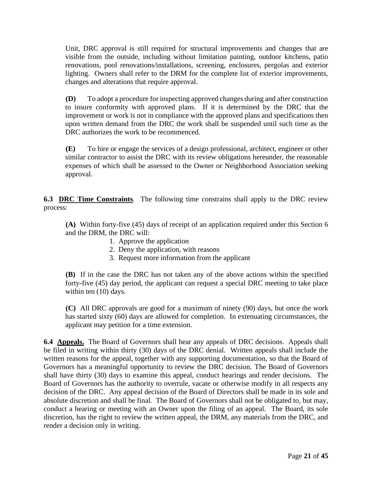Unit, DRC approval is still required for structural improvements and changes that are visible from the outside, including without limitation painting, outdoor kitchens, patio renovations, pool renovations/installations, screening, enclosures, pergolas and exterior lighting. Owners shall refer to the DRM for the complete list of exterior improvements, changes and alterations that require approval.

**(D)** To adopt a procedure for inspecting approved changes during and after construction to insure conformity with approved plans. If it is determined by the DRC that the improvement or work is not in compliance with the approved plans and specifications then upon written demand from the DRC the work shall be suspended until such time as the DRC authorizes the work to be recommenced.

**(E)** To hire or engage the services of a design professional, architect, engineer or other similar contractor to assist the DRC with its review obligations hereunder, the reasonable expenses of which shall be assessed to the Owner or Neighborhood Association seeking approval.

**6.3 DRC Time Constraints**. The following time constrains shall apply to the DRC review process:

**(A)** Within forty-five (45) days of receipt of an application required under this Section 6 and the DRM, the DRC will:

- 1. Approve the application
- 2. Deny the application, with reasons
- 3. Request more information from the applicant

**(B)** If in the case the DRC has not taken any of the above actions within the specified forty-five (45) day period, the applicant can request a special DRC meeting to take place within ten (10) days.

**(C)** All DRC approvals are good for a maximum of ninety (90) days, but once the work has started sixty (60) days are allowed for completion. In extenuating circumstances, the applicant may petition for a time extension.

**6.4 Appeals.** The Board of Governors shall hear any appeals of DRC decisions. Appeals shall be filed in writing within thirty (30) days of the DRC denial. Written appeals shall include the written reasons for the appeal, together with any supporting documentation, so that the Board of Governors has a meaningful opportunity to review the DRC decision. The Board of Governors shall have thirty (30) days to examine this appeal, conduct hearings and render decisions. The Board of Governors has the authority to overrule, vacate or otherwise modify in all respects any decision of the DRC. Any appeal decision of the Board of Directors shall be made in its sole and absolute discretion and shall be final. The Board of Governors shall not be obligated to, but may, conduct a hearing or meeting with an Owner upon the filing of an appeal. The Board, its sole discretion, has the right to review the written appeal, the DRM, any materials from the DRC, and render a decision only in writing.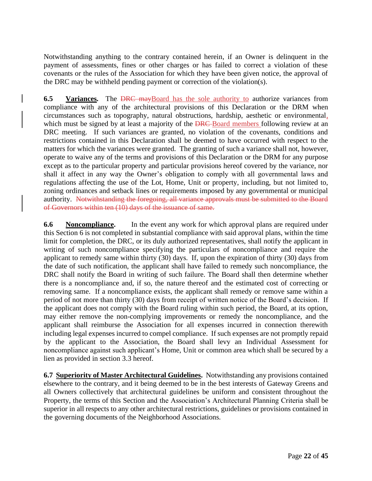Notwithstanding anything to the contrary contained herein, if an Owner is delinquent in the payment of assessments, fines or other charges or has failed to correct a violation of these covenants or the rules of the Association for which they have been given notice, the approval of the DRC may be withheld pending payment or correction of the violation(s).

**6.5 Variances.** The <del>DRC may</del>Board has the sole authority to authorize variances from compliance with any of the architectural provisions of this Declaration or the DRM when circumstances such as topography, natural obstructions, hardship, aesthetic or environmental, which must be signed by at least a majority of the DRC-Board members following review at an DRC meeting. If such variances are granted, no violation of the covenants, conditions and restrictions contained in this Declaration shall be deemed to have occurred with respect to the matters for which the variances were granted. The granting of such a variance shall not, however, operate to waive any of the terms and provisions of this Declaration or the DRM for any purpose except as to the particular property and particular provisions hereof covered by the variance, nor shall it affect in any way the Owner's obligation to comply with all governmental laws and regulations affecting the use of the Lot, Home, Unit or property, including, but not limited to, zoning ordinances and setback lines or requirements imposed by any governmental or municipal authority. Notwithstanding the foregoing, all variance approvals must be submitted to the Board of Governors within ten (10) days of the issuance of same.

**6.6 Noncompliance.** In the event any work for which approval plans are required under this Section 6 is not completed in substantial compliance with said approval plans, within the time limit for completion, the DRC, or its duly authorized representatives, shall notify the applicant in writing of such noncompliance specifying the particulars of noncompliance and require the applicant to remedy same within thirty (30) days. If, upon the expiration of thirty (30) days from the date of such notification, the applicant shall have failed to remedy such noncompliance, the DRC shall notify the Board in writing of such failure. The Board shall then determine whether there is a noncompliance and, if so, the nature thereof and the estimated cost of correcting or removing same. If a noncompliance exists, the applicant shall remedy or remove same within a period of not more than thirty (30) days from receipt of written notice of the Board's decision. If the applicant does not comply with the Board ruling within such period, the Board, at its option, may either remove the non-complying improvements or remedy the noncompliance, and the applicant shall reimburse the Association for all expenses incurred in connection therewith including legal expenses incurred to compel compliance. If such expenses are not promptly repaid by the applicant to the Association, the Board shall levy an Individual Assessment for noncompliance against such applicant's Home, Unit or common area which shall be secured by a lien as provided in section 3.3 hereof.

**6.7 Superiority of Master Architectural Guidelines.** Notwithstanding any provisions contained elsewhere to the contrary, and it being deemed to be in the best interests of Gateway Greens and all Owners collectively that architectural guidelines be uniform and consistent throughout the Property, the terms of this Section and the Association's Architectural Planning Criteria shall be superior in all respects to any other architectural restrictions, guidelines or provisions contained in the governing documents of the Neighborhood Associations.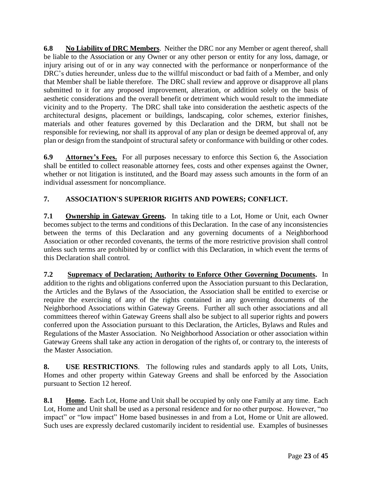**6.8 No Liability of DRC Members**. Neither the DRC nor any Member or agent thereof, shall be liable to the Association or any Owner or any other person or entity for any loss, damage, or injury arising out of or in any way connected with the performance or nonperformance of the DRC's duties hereunder, unless due to the willful misconduct or bad faith of a Member, and only that Member shall be liable therefore. The DRC shall review and approve or disapprove all plans submitted to it for any proposed improvement, alteration, or addition solely on the basis of aesthetic considerations and the overall benefit or detriment which would result to the immediate vicinity and to the Property. The DRC shall take into consideration the aesthetic aspects of the architectural designs, placement or buildings, landscaping, color schemes, exterior finishes, materials and other features governed by this Declaration and the DRM, but shall not be responsible for reviewing, nor shall its approval of any plan or design be deemed approval of, any plan or design from the standpoint of structural safety or conformance with building or other codes.

**6.9 Attorney's Fees.** For all purposes necessary to enforce this Section 6, the Association shall be entitled to collect reasonable attorney fees, costs and other expenses against the Owner, whether or not litigation is instituted, and the Board may assess such amounts in the form of an individual assessment for noncompliance.

# **7. ASSOCIATION'S SUPERIOR RIGHTS AND POWERS; CONFLICT.**

**7.1 Ownership in Gateway Greens.** In taking title to a Lot, Home or Unit, each Owner becomes subject to the terms and conditions of this Declaration. In the case of any inconsistencies between the terms of this Declaration and any governing documents of a Neighborhood Association or other recorded covenants, the terms of the more restrictive provision shall control unless such terms are prohibited by or conflict with this Declaration, in which event the terms of this Declaration shall control.

**7.2 Supremacy of Declaration; Authority to Enforce Other Governing Documents.** In addition to the rights and obligations conferred upon the Association pursuant to this Declaration, the Articles and the Bylaws of the Association, the Association shall be entitled to exercise or require the exercising of any of the rights contained in any governing documents of the Neighborhood Associations within Gateway Greens. Further all such other associations and all committees thereof within Gateway Greens shall also be subject to all superior rights and powers conferred upon the Association pursuant to this Declaration, the Articles, Bylaws and Rules and Regulations of the Master Association. No Neighborhood Association or other association within Gateway Greens shall take any action in derogation of the rights of, or contrary to, the interests of the Master Association.

**8. USE RESTRICTIONS**. The following rules and standards apply to all Lots, Units, Homes and other property within Gateway Greens and shall be enforced by the Association pursuant to Section 12 hereof.

**8.1 Home.** Each Lot, Home and Unit shall be occupied by only one Family at any time. Each Lot, Home and Unit shall be used as a personal residence and for no other purpose. However, "no impact" or "low impact" Home based businesses in and from a Lot, Home or Unit are allowed. Such uses are expressly declared customarily incident to residential use. Examples of businesses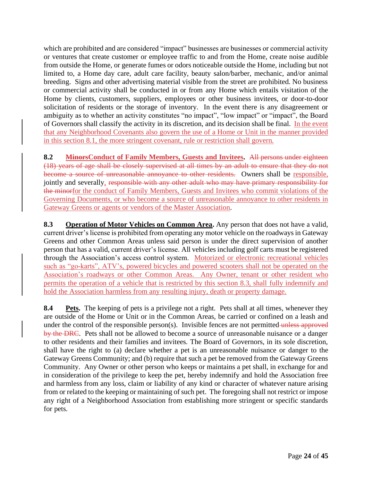which are prohibited and are considered "impact" businesses are businesses or commercial activity or ventures that create customer or employee traffic to and from the Home, create noise audible from outside the Home, or generate fumes or odors noticeable outside the Home, including but not limited to, a Home day care, adult care facility, beauty salon/barber, mechanic, and/or animal breeding. Signs and other advertising material visible from the street are prohibited. No business or commercial activity shall be conducted in or from any Home which entails visitation of the Home by clients, customers, suppliers, employees or other business invitees, or door-to-door solicitation of residents or the storage of inventory. In the event there is any disagreement or ambiguity as to whether an activity constitutes "no impact", "low impact" or "impact", the Board of Governors shall classify the activity in its discretion, and its decision shall be final. In the event that any Neighborhood Covenants also govern the use of a Home or Unit in the manner provided in this section 8.1, the more stringent covenant, rule or restriction shall govern.

**8.2 MinorsConduct of Family Members, Guests and Invitees.** All persons under eighteen (18) years of age shall be closely supervised at all times by an adult to ensure that they do not become a source of unreasonable annoyance to other residents. Owners shall be responsible, jointly and severally, responsible with any other adult who may have primary responsibility for the minorfor the conduct of Family Members, Guests and Invitees who commit violations of the Governing Documents, or who become a source of unreasonable annoyance to other residents in Gateway Greens or agents or vendors of the Master Association.

**8.3 Operation of Motor Vehicles on Common Area.** Any person that does not have a valid, current driver's license is prohibited from operating any motor vehicle on the roadways in Gateway Greens and other Common Areas unless said person is under the direct supervision of another person that has a valid, current driver's license. All vehicles including golf carts must be registered through the Association's access control system. Motorized or electronic recreational vehicles such as "go-karts", ATV's, powered bicycles and powered scooters shall not be operated on the Association's roadways or other Common Areas. Any Owner, tenant or other resident who permits the operation of a vehicle that is restricted by this section 8.3, shall fully indemnify and hold the Association harmless from any resulting injury, death or property damage.

**8.4 Pets.** The keeping of pets is a privilege not a right. Pets shall at all times, whenever they are outside of the Home or Unit or in the Common Areas, be carried or confined on a leash and under the control of the responsible person(s). Invisible fences are not permitted unless approved by the DRC. Pets shall not be allowed to become a source of unreasonable nuisance or a danger to other residents and their families and invitees. The Board of Governors, in its sole discretion, shall have the right to (a) declare whether a pet is an unreasonable nuisance or danger to the Gateway Greens Community; and (b) require that such a pet be removed from the Gateway Greens Community. Any Owner or other person who keeps or maintains a pet shall, in exchange for and in consideration of the privilege to keep the pet, hereby indemnify and hold the Association free and harmless from any loss, claim or liability of any kind or character of whatever nature arising from or related to the keeping or maintaining of such pet. The foregoing shall not restrict or impose any right of a Neighborhood Association from establishing more stringent or specific standards for pets.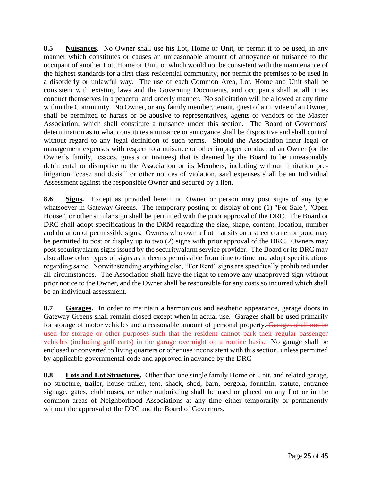**8.5 Nuisances**. No Owner shall use his Lot, Home or Unit, or permit it to be used, in any manner which constitutes or causes an unreasonable amount of annoyance or nuisance to the occupant of another Lot, Home or Unit, or which would not be consistent with the maintenance of the highest standards for a first class residential community, nor permit the premises to be used in a disorderly or unlawful way. The use of each Common Area, Lot, Home and Unit shall be consistent with existing laws and the Governing Documents, and occupants shall at all times conduct themselves in a peaceful and orderly manner. No solicitation will be allowed at any time within the Community. No Owner, or any family member, tenant, guest of an invitee of an Owner, shall be permitted to harass or be abusive to representatives, agents or vendors of the Master Association, which shall constitute a nuisance under this section. The Board of Governors' determination as to what constitutes a nuisance or annoyance shall be dispositive and shall control without regard to any legal definition of such terms. Should the Association incur legal or management expenses with respect to a nuisance or other improper conduct of an Owner (or the Owner's family, lessees, guests or invitees) that is deemed by the Board to be unreasonably detrimental or disruptive to the Association or its Members, including without limitation prelitigation "cease and desist" or other notices of violation, said expenses shall be an Individual Assessment against the responsible Owner and secured by a lien.

**8.6 Signs.** Except as provided herein no Owner or person may post signs of any type whatsoever in Gateway Greens. The temporary posting or display of one (1) "For Sale", "Open House", or other similar sign shall be permitted with the prior approval of the DRC. The Board or DRC shall adopt specifications in the DRM regarding the size, shape, content, location, number and duration of permissible signs. Owners who own a Lot that sits on a street corner or pond may be permitted to post or display up to two (2) signs with prior approval of the DRC. Owners may post security/alarm signs issued by the security/alarm service provider. The Board or its DRC may also allow other types of signs as it deems permissible from time to time and adopt specifications regarding same. Notwithstanding anything else, "For Rent" signs are specifically prohibited under all circumstances. The Association shall have the right to remove any unapproved sign without prior notice to the Owner, and the Owner shall be responsible for any costs so incurred which shall be an individual assessment.

**8.7 Garages.** In order to maintain a harmonious and aesthetic appearance, garage doors in Gateway Greens shall remain closed except when in actual use. Garages shall be used primarily for storage of motor vehicles and a reasonable amount of personal property. Garages shall not be used for storage or other purposes such that the resident cannot park their regular passenger vehicles (including golf carts) in the garage overnight on a routine basis. No garage shall be enclosed or converted to living quarters or other use inconsistent with this section, unless permitted by applicable governmental code and approved in advance by the DRC

**8.8 Lots and Lot Structures.** Other than one single family Home or Unit, and related garage, no structure, trailer, house trailer, tent, shack, shed, barn, pergola, fountain, statute, entrance signage, gates, clubhouses, or other outbuilding shall be used or placed on any Lot or in the common areas of Neighborhood Associations at any time either temporarily or permanently without the approval of the DRC and the Board of Governors.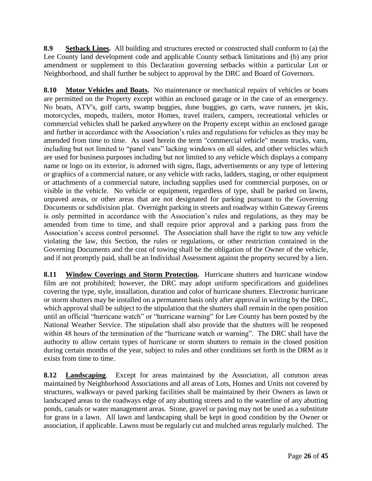**8.9 Setback Lines.** All building and structures erected or constructed shall conform to (a) the Lee County land development code and applicable County setback limitations and (b) any prior amendment or supplement to this Declaration governing setbacks within a particular Lot or Neighborhood, and shall further be subject to approval by the DRC and Board of Governors.

**8.10 Motor Vehicles and Boats.** No maintenance or mechanical repairs of vehicles or boats are permitted on the Property except within an enclosed garage or in the case of an emergency. No boats, ATV's, golf carts, swamp buggies, dune buggies, go carts, wave runners, jet skis, motorcycles, mopeds, trailers, motor Homes, travel trailers, campers, recreational vehicles or commercial vehicles shall be parked anywhere on the Property except within an enclosed garage and further in accordance with the Association's rules and regulations for vehicles as they may be amended from time to time. As used herein the term "commercial vehicle" means trucks, vans, including but not limited to "panel vans" lacking windows on all sides, and other vehicles which are used for business purposes including but not limited to any vehicle which displays a company name or logo on its exterior, is adorned with signs, flags, advertisements or any type of lettering or graphics of a commercial nature, or any vehicle with racks, ladders, staging, or other equipment or attachments of a commercial nature, including supplies used for commercial purposes, on or visible in the vehicle. No vehicle or equipment, regardless of type, shall be parked on lawns, unpaved areas, or other areas that are not designated for parking pursuant to the Governing Documents or subdivision plat. Overnight parking in streets and roadway within Gateway Greens is only permitted in accordance with the Association's rules and regulations, as they may be amended from time to time, and shall require prior approval and a parking pass from the Association's access control personnel. The Association shall have the right to tow any vehicle violating the law, this Section, the rules or regulations, or other restriction contained in the Governing Documents and the cost of towing shall be the obligation of the Owner of the vehicle, and if not promptly paid, shall be an Individual Assessment against the property secured by a lien.

**8.11 Window Coverings and Storm Protection.** Hurricane shutters and hurricane window film are not prohibited; however, the DRC may adopt uniform specifications and guidelines covering the type, style, installation, duration and color of hurricane shutters. Electronic hurricane or storm shutters may be installed on a permanent basis only after approval in writing by the DRC, which approval shall be subject to the stipulation that the shutters shall remain in the open position until an official "hurricane watch" or "hurricane warning" for Lee County has been posted by the National Weather Service. The stipulation shall also provide that the shutters will be reopened within 48 hours of the termination of the "hurricane watch or warning". The DRC shall have the authority to allow certain types of hurricane or storm shutters to remain in the closed position during certain months of the year, subject to rules and other conditions set forth in the DRM as it exists from time to time.

**8.12 Landscaping**. Except for areas maintained by the Association, all common areas maintained by Neighborhood Associations and all areas of Lots, Homes and Units not covered by structures, walkways or paved parking facilities shall be maintained by their Owners as lawn or landscaped areas to the roadways edge of any abutting streets and to the waterline of any abutting ponds, canals or water management areas. Stone, gravel or paving may not be used as a substitute for grass in a lawn. All lawn and landscaping shall be kept in good condition by the Owner or association, if applicable. Lawns must be regularly cut and mulched areas regularly mulched. The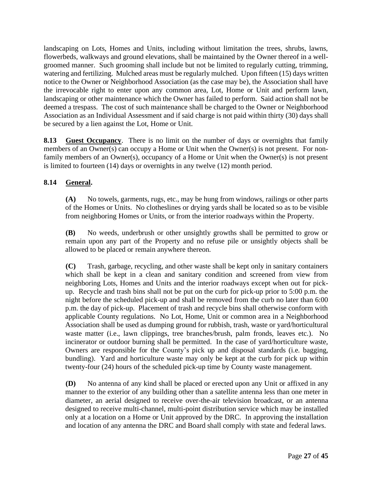landscaping on Lots, Homes and Units, including without limitation the trees, shrubs, lawns, flowerbeds, walkways and ground elevations, shall be maintained by the Owner thereof in a wellgroomed manner. Such grooming shall include but not be limited to regularly cutting, trimming, watering and fertilizing. Mulched areas must be regularly mulched. Upon fifteen (15) days written notice to the Owner or Neighborhood Association (as the case may be), the Association shall have the irrevocable right to enter upon any common area, Lot, Home or Unit and perform lawn, landscaping or other maintenance which the Owner has failed to perform. Said action shall not be deemed a trespass. The cost of such maintenance shall be charged to the Owner or Neighborhood Association as an Individual Assessment and if said charge is not paid within thirty (30) days shall be secured by a lien against the Lot, Home or Unit.

**8.13 Guest Occupancy**. There is no limit on the number of days or overnights that family members of an Owner(s) can occupy a Home or Unit when the Owner(s) is not present. For nonfamily members of an Owner(s), occupancy of a Home or Unit when the Owner(s) is not present is limited to fourteen (14) days or overnights in any twelve (12) month period.

## **8.14 General.**

**(A)** No towels, garments, rugs, etc., may be hung from windows, railings or other parts of the Homes or Units. No clotheslines or drying yards shall be located so as to be visible from neighboring Homes or Units, or from the interior roadways within the Property.

**(B)** No weeds, underbrush or other unsightly growths shall be permitted to grow or remain upon any part of the Property and no refuse pile or unsightly objects shall be allowed to be placed or remain anywhere thereon.

**(C)** Trash, garbage, recycling, and other waste shall be kept only in sanitary containers which shall be kept in a clean and sanitary condition and screened from view from neighboring Lots, Homes and Units and the interior roadways except when out for pickup. Recycle and trash bins shall not be put on the curb for pick-up prior to 5:00 p.m. the night before the scheduled pick-up and shall be removed from the curb no later than 6:00 p.m. the day of pick-up. Placement of trash and recycle bins shall otherwise conform with applicable County regulations. No Lot, Home, Unit or common area in a Neighborhood Association shall be used as dumping ground for rubbish, trash, waste or yard/horticultural waste matter (i.e., lawn clippings, tree branches/brush, palm fronds, leaves etc.). No incinerator or outdoor burning shall be permitted. In the case of yard/horticulture waste, Owners are responsible for the County's pick up and disposal standards (i.e. bagging, bundling). Yard and horticulture waste may only be kept at the curb for pick up within twenty-four (24) hours of the scheduled pick-up time by County waste management.

**(D)** No antenna of any kind shall be placed or erected upon any Unit or affixed in any manner to the exterior of any building other than a satellite antenna less than one meter in diameter, an aerial designed to receive over-the-air television broadcast, or an antenna designed to receive multi-channel, multi-point distribution service which may be installed only at a location on a Home or Unit approved by the DRC. In approving the installation and location of any antenna the DRC and Board shall comply with state and federal laws.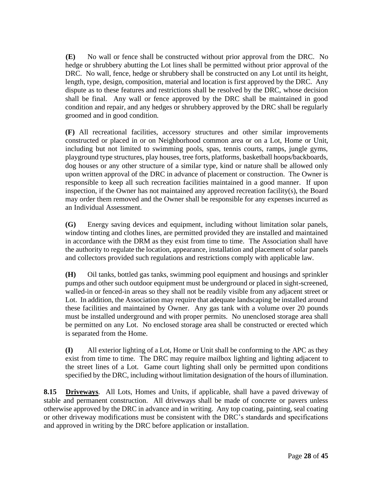**(E)** No wall or fence shall be constructed without prior approval from the DRC. No hedge or shrubbery abutting the Lot lines shall be permitted without prior approval of the DRC. No wall, fence, hedge or shrubbery shall be constructed on any Lot until its height, length, type, design, composition, material and location is first approved by the DRC. Any dispute as to these features and restrictions shall be resolved by the DRC, whose decision shall be final. Any wall or fence approved by the DRC shall be maintained in good condition and repair, and any hedges or shrubbery approved by the DRC shall be regularly groomed and in good condition.

**(F)** All recreational facilities, accessory structures and other similar improvements constructed or placed in or on Neighborhood common area or on a Lot, Home or Unit, including but not limited to swimming pools, spas, tennis courts, ramps, jungle gyms, playground type structures, play houses, tree forts, platforms, basketball hoops/backboards, dog houses or any other structure of a similar type, kind or nature shall be allowed only upon written approval of the DRC in advance of placement or construction. The Owner is responsible to keep all such recreation facilities maintained in a good manner. If upon inspection, if the Owner has not maintained any approved recreation facility(s), the Board may order them removed and the Owner shall be responsible for any expenses incurred as an Individual Assessment.

**(G)** Energy saving devices and equipment, including without limitation solar panels, window tinting and clothes lines, are permitted provided they are installed and maintained in accordance with the DRM as they exist from time to time. The Association shall have the authority to regulate the location, appearance, installation and placement of solar panels and collectors provided such regulations and restrictions comply with applicable law.

**(H)** Oil tanks, bottled gas tanks, swimming pool equipment and housings and sprinkler pumps and other such outdoor equipment must be underground or placed in sight-screened, walled-in or fenced-in areas so they shall not be readily visible from any adjacent street or Lot. In addition, the Association may require that adequate landscaping be installed around these facilities and maintained by Owner. Any gas tank with a volume over 20 pounds must be installed underground and with proper permits. No unenclosed storage area shall be permitted on any Lot. No enclosed storage area shall be constructed or erected which is separated from the Home.

**(I)** All exterior lighting of a Lot, Home or Unit shall be conforming to the APC as they exist from time to time. The DRC may require mailbox lighting and lighting adjacent to the street lines of a Lot. Game court lighting shall only be permitted upon conditions specified by the DRC, including without limitation designation of the hours of illumination.

**8.15 Driveways**. All Lots, Homes and Units, if applicable, shall have a paved driveway of stable and permanent construction. All driveways shall be made of concrete or pavers unless otherwise approved by the DRC in advance and in writing. Any top coating, painting, seal coating or other driveway modifications must be consistent with the DRC's standards and specifications and approved in writing by the DRC before application or installation.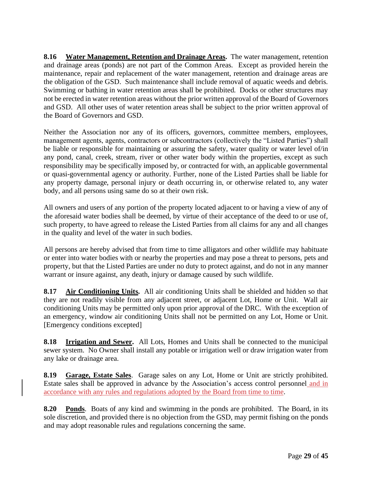**8.16 Water Management, Retention and Drainage Areas.** The water management, retention and drainage areas (ponds) are not part of the Common Areas. Except as provided herein the maintenance, repair and replacement of the water management, retention and drainage areas are the obligation of the GSD. Such maintenance shall include removal of aquatic weeds and debris. Swimming or bathing in water retention areas shall be prohibited. Docks or other structures may not be erected in water retention areas without the prior written approval of the Board of Governors and GSD. All other uses of water retention areas shall be subject to the prior written approval of the Board of Governors and GSD.

Neither the Association nor any of its officers, governors, committee members, employees, management agents, agents, contractors or subcontractors (collectively the "Listed Parties") shall be liable or responsible for maintaining or assuring the safety, water quality or water level of/in any pond, canal, creek, stream, river or other water body within the properties, except as such responsibility may be specifically imposed by, or contracted for with, an applicable governmental or quasi-governmental agency or authority. Further, none of the Listed Parties shall be liable for any property damage, personal injury or death occurring in, or otherwise related to, any water body, and all persons using same do so at their own risk.

All owners and users of any portion of the property located adjacent to or having a view of any of the aforesaid water bodies shall be deemed, by virtue of their acceptance of the deed to or use of, such property, to have agreed to release the Listed Parties from all claims for any and all changes in the quality and level of the water in such bodies.

All persons are hereby advised that from time to time alligators and other wildlife may habituate or enter into water bodies with or nearby the properties and may pose a threat to persons, pets and property, but that the Listed Parties are under no duty to protect against, and do not in any manner warrant or insure against, any death, injury or damage caused by such wildlife.

**8.17 Air Conditioning Units.** All air conditioning Units shall be shielded and hidden so that they are not readily visible from any adjacent street, or adjacent Lot, Home or Unit. Wall air conditioning Units may be permitted only upon prior approval of the DRC. With the exception of an emergency, window air conditioning Units shall not be permitted on any Lot, Home or Unit. [Emergency conditions excepted]

**8.18 Irrigation and Sewer.** All Lots, Homes and Units shall be connected to the municipal sewer system. No Owner shall install any potable or irrigation well or draw irrigation water from any lake or drainage area.

**8.19 Garage, Estate Sales**. Garage sales on any Lot, Home or Unit are strictly prohibited. Estate sales shall be approved in advance by the Association's access control personnel and in accordance with any rules and regulations adopted by the Board from time to time.

**8.20 Ponds**. Boats of any kind and swimming in the ponds are prohibited. The Board, in its sole discretion, and provided there is no objection from the GSD, may permit fishing on the ponds and may adopt reasonable rules and regulations concerning the same.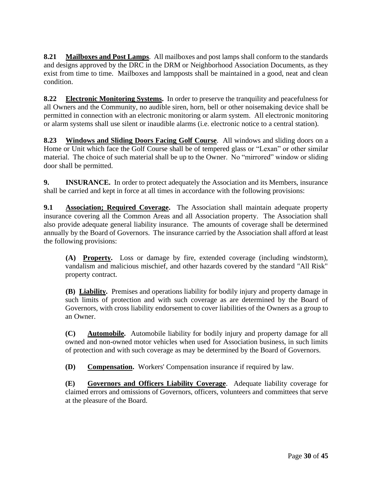**8.21 Mailboxes and Post Lamps**. All mailboxes and post lamps shall conform to the standards and designs approved by the DRC in the DRM or Neighborhood Association Documents, as they exist from time to time. Mailboxes and lampposts shall be maintained in a good, neat and clean condition.

**8.22 Electronic Monitoring Systems.** In order to preserve the tranquility and peacefulness for all Owners and the Community, no audible siren, horn, bell or other noisemaking device shall be permitted in connection with an electronic monitoring or alarm system. All electronic monitoring or alarm systems shall use silent or inaudible alarms (i.e. electronic notice to a central station).

**8.23 Windows and Sliding Doors Facing Golf Course**. All windows and sliding doors on a Home or Unit which face the Golf Course shall be of tempered glass or "Lexan" or other similar material. The choice of such material shall be up to the Owner. No "mirrored" window or sliding door shall be permitted.

**9. INSURANCE.** In order to protect adequately the Association and its Members, insurance shall be carried and kept in force at all times in accordance with the following provisions:

**9.1 Association; Required Coverage.** The Association shall maintain adequate property insurance covering all the Common Areas and all Association property. The Association shall also provide adequate general liability insurance. The amounts of coverage shall be determined annually by the Board of Governors. The insurance carried by the Association shall afford at least the following provisions:

**(A) Property.** Loss or damage by fire, extended coverage (including windstorm), vandalism and malicious mischief, and other hazards covered by the standard "All Risk" property contract.

**(B) Liability.** Premises and operations liability for bodily injury and property damage in such limits of protection and with such coverage as are determined by the Board of Governors, with cross liability endorsement to cover liabilities of the Owners as a group to an Owner.

**(C) Automobile.** Automobile liability for bodily injury and property damage for all owned and non-owned motor vehicles when used for Association business, in such limits of protection and with such coverage as may be determined by the Board of Governors.

**(D) Compensation.** Workers' Compensation insurance if required by law.

**(E) Governors and Officers Liability Coverage**. Adequate liability coverage for claimed errors and omissions of Governors, officers, volunteers and committees that serve at the pleasure of the Board.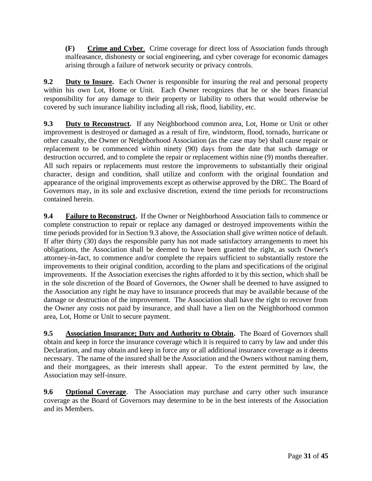**(F) Crime and Cyber**. Crime coverage for direct loss of Association funds through malfeasance, dishonesty or social engineering, and cyber coverage for economic damages arising through a failure of network security or privacy controls.

**9.2 Duty to Insure.** Each Owner is responsible for insuring the real and personal property within his own Lot, Home or Unit. Each Owner recognizes that he or she bears financial responsibility for any damage to their property or liability to others that would otherwise be covered by such insurance liability including all risk, flood, liability, etc.

**9.3 Duty to Reconstruct.** If any Neighborhood common area, Lot, Home or Unit or other improvement is destroyed or damaged as a result of fire, windstorm, flood, tornado, hurricane or other casualty, the Owner or Neighborhood Association (as the case may be) shall cause repair or replacement to be commenced within ninety (90) days from the date that such damage or destruction occurred, and to complete the repair or replacement within nine (9) months thereafter. All such repairs or replacements must restore the improvements to substantially their original character, design and condition, shall utilize and conform with the original foundation and appearance of the original improvements except as otherwise approved by the DRC. The Board of Governors may, in its sole and exclusive discretion, extend the time periods for reconstructions contained herein.

**9.4 Failure to Reconstruct.** If the Owner or Neighborhood Association fails to commence or complete construction to repair or replace any damaged or destroyed improvements within the time periods provided for in Section 9.3 above, the Association shall give written notice of default. If after thirty (30) days the responsible party has not made satisfactory arrangements to meet his obligations, the Association shall be deemed to have been granted the right, as such Owner's attorney-in-fact, to commence and/or complete the repairs sufficient to substantially restore the improvements to their original condition, according to the plans and specifications of the original improvements. If the Association exercises the rights afforded to it by this section, which shall be in the sole discretion of the Board of Governors, the Owner shall be deemed to have assigned to the Association any right he may have to insurance proceeds that may be available because of the damage or destruction of the improvement. The Association shall have the right to recover from the Owner any costs not paid by insurance, and shall have a lien on the Neighborhood common area, Lot, Home or Unit to secure payment.

**9.5 Association Insurance; Duty and Authority to Obtain.** The Board of Governors shall obtain and keep in force the insurance coverage which it is required to carry by law and under this Declaration, and may obtain and keep in force any or all additional insurance coverage as it deems necessary. The name of the insured shall be the Association and the Owners without naming them, and their mortgagees, as their interests shall appear. To the extent permitted by law, the Association may self-insure.

**9.6 Optional Coverage**. The Association may purchase and carry other such insurance coverage as the Board of Governors may determine to be in the best interests of the Association and its Members.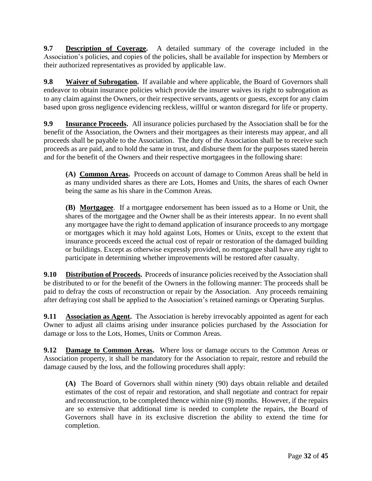**9.7 Description of Coverage.** A detailed summary of the coverage included in the Association's policies, and copies of the policies, shall be available for inspection by Members or their authorized representatives as provided by applicable law.

**9.8 Waiver of Subrogation.** If available and where applicable, the Board of Governors shall endeavor to obtain insurance policies which provide the insurer waives its right to subrogation as to any claim against the Owners, or their respective servants, agents or guests, except for any claim based upon gross negligence evidencing reckless, willful or wanton disregard for life or property.

**9.9 Insurance Proceeds.** All insurance policies purchased by the Association shall be for the benefit of the Association, the Owners and their mortgagees as their interests may appear, and all proceeds shall be payable to the Association. The duty of the Association shall be to receive such proceeds as are paid, and to hold the same in trust, and disburse them for the purposes stated herein and for the benefit of the Owners and their respective mortgagees in the following share:

**(A) Common Areas.** Proceeds on account of damage to Common Areas shall be held in as many undivided shares as there are Lots, Homes and Units, the shares of each Owner being the same as his share in the Common Areas.

**(B) Mortgagee**. If a mortgagee endorsement has been issued as to a Home or Unit, the shares of the mortgagee and the Owner shall be as their interests appear. In no event shall any mortgagee have the right to demand application of insurance proceeds to any mortgage or mortgages which it may hold against Lots, Homes or Units, except to the extent that insurance proceeds exceed the actual cost of repair or restoration of the damaged building or buildings. Except as otherwise expressly provided, no mortgagee shall have any right to participate in determining whether improvements will be restored after casualty.

**9.10 Distribution of Proceeds.** Proceeds of insurance policies received by the Association shall be distributed to or for the benefit of the Owners in the following manner: The proceeds shall be paid to defray the costs of reconstruction or repair by the Association. Any proceeds remaining after defraying cost shall be applied to the Association's retained earnings or Operating Surplus.

**9.11 • Association as Agent.** The Association is hereby irrevocably appointed as agent for each Owner to adjust all claims arising under insurance policies purchased by the Association for damage or loss to the Lots, Homes, Units or Common Areas.

**9.12 Damage to Common Areas.** Where loss or damage occurs to the Common Areas or Association property, it shall be mandatory for the Association to repair, restore and rebuild the damage caused by the loss, and the following procedures shall apply:

**(A)** The Board of Governors shall within ninety (90) days obtain reliable and detailed estimates of the cost of repair and restoration, and shall negotiate and contract for repair and reconstruction, to be completed thence within nine (9) months. However, if the repairs are so extensive that additional time is needed to complete the repairs, the Board of Governors shall have in its exclusive discretion the ability to extend the time for completion.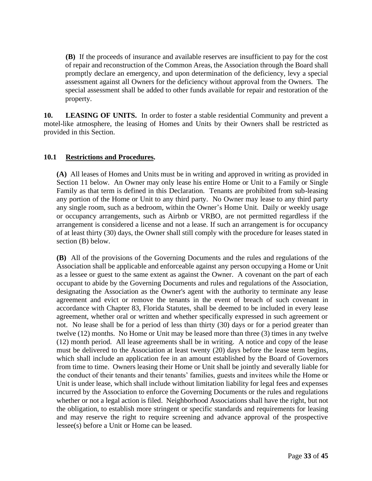**(B)** If the proceeds of insurance and available reserves are insufficient to pay for the cost of repair and reconstruction of the Common Areas, the Association through the Board shall promptly declare an emergency, and upon determination of the deficiency, levy a special assessment against all Owners for the deficiency without approval from the Owners. The special assessment shall be added to other funds available for repair and restoration of the property.

**10.** LEASING OF UNITS. In order to foster a stable residential Community and prevent a motel-like atmosphere, the leasing of Homes and Units by their Owners shall be restricted as provided in this Section.

### **10.1 Restrictions and Procedures.**

**(A)** All leases of Homes and Units must be in writing and approved in writing as provided in Section 11 below. An Owner may only lease his entire Home or Unit to a Family or Single Family as that term is defined in this Declaration. Tenants are prohibited from sub-leasing any portion of the Home or Unit to any third party. No Owner may lease to any third party any single room, such as a bedroom, within the Owner's Home Unit. Daily or weekly usage or occupancy arrangements, such as Airbnb or VRBO, are not permitted regardless if the arrangement is considered a license and not a lease. If such an arrangement is for occupancy of at least thirty (30) days, the Owner shall still comply with the procedure for leases stated in section (B) below.

**(B)** All of the provisions of the Governing Documents and the rules and regulations of the Association shall be applicable and enforceable against any person occupying a Home or Unit as a lessee or guest to the same extent as against the Owner. A covenant on the part of each occupant to abide by the Governing Documents and rules and regulations of the Association, designating the Association as the Owner's agent with the authority to terminate any lease agreement and evict or remove the tenants in the event of breach of such covenant in accordance with Chapter 83, Florida Statutes, shall be deemed to be included in every lease agreement, whether oral or written and whether specifically expressed in such agreement or not. No lease shall be for a period of less than thirty (30) days or for a period greater than twelve (12) months. No Home or Unit may be leased more than three (3) times in any twelve (12) month period. All lease agreements shall be in writing. A notice and copy of the lease must be delivered to the Association at least twenty (20) days before the lease term begins, which shall include an application fee in an amount established by the Board of Governors from time to time. Owners leasing their Home or Unit shall be jointly and severally liable for the conduct of their tenants and their tenants' families, guests and invitees while the Home or Unit is under lease, which shall include without limitation liability for legal fees and expenses incurred by the Association to enforce the Governing Documents or the rules and regulations whether or not a legal action is filed. Neighborhood Associations shall have the right, but not the obligation, to establish more stringent or specific standards and requirements for leasing and may reserve the right to require screening and advance approval of the prospective lessee(s) before a Unit or Home can be leased.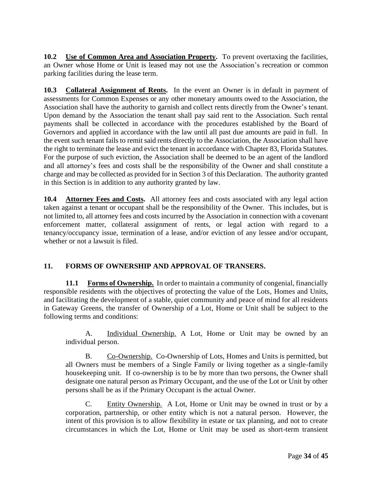10.2 Use of Common Area and Association Property. To prevent overtaxing the facilities, an Owner whose Home or Unit is leased may not use the Association's recreation or common parking facilities during the lease term.

**10.3 Collateral Assignment of Rents.** In the event an Owner is in default in payment of assessments for Common Expenses or any other monetary amounts owed to the Association, the Association shall have the authority to garnish and collect rents directly from the Owner's tenant. Upon demand by the Association the tenant shall pay said rent to the Association. Such rental payments shall be collected in accordance with the procedures established by the Board of Governors and applied in accordance with the law until all past due amounts are paid in full. In the event such tenant fails to remit said rents directly to the Association, the Association shall have the right to terminate the lease and evict the tenant in accordance with Chapter 83, Florida Statutes. For the purpose of such eviction, the Association shall be deemed to be an agent of the landlord and all attorney's fees and costs shall be the responsibility of the Owner and shall constitute a charge and may be collected as provided for in Section 3 of this Declaration. The authority granted in this Section is in addition to any authority granted by law.

**10.4 Attorney Fees and Costs.** All attorney fees and costs associated with any legal action taken against a tenant or occupant shall be the responsibility of the Owner. This includes, but is not limited to, all attorney fees and costs incurred by the Association in connection with a covenant enforcement matter, collateral assignment of rents, or legal action with regard to a tenancy/occupancy issue, termination of a lease, and/or eviction of any lessee and/or occupant, whether or not a lawsuit is filed.

## **11. FORMS OF OWNERSHIP AND APPROVAL OF TRANSERS.**

**11.1 Forms of Ownership.** In order to maintain a community of congenial, financially responsible residents with the objectives of protecting the value of the Lots, Homes and Units, and facilitating the development of a stable, quiet community and peace of mind for all residents in Gateway Greens, the transfer of Ownership of a Lot, Home or Unit shall be subject to the following terms and conditions:

A. Individual Ownership. A Lot, Home or Unit may be owned by an individual person.

B. Co-Ownership. Co-Ownership of Lots, Homes and Units is permitted, but all Owners must be members of a Single Family or living together as a single-family housekeeping unit. If co-ownership is to be by more than two persons, the Owner shall designate one natural person as Primary Occupant, and the use of the Lot or Unit by other persons shall be as if the Primary Occupant is the actual Owner.

C. Entity Ownership. A Lot, Home or Unit may be owned in trust or by a corporation, partnership, or other entity which is not a natural person. However, the intent of this provision is to allow flexibility in estate or tax planning, and not to create circumstances in which the Lot, Home or Unit may be used as short-term transient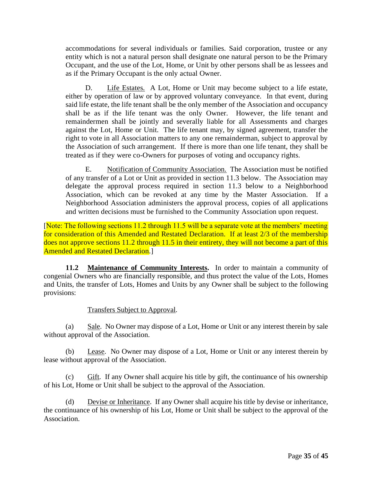accommodations for several individuals or families. Said corporation, trustee or any entity which is not a natural person shall designate one natural person to be the Primary Occupant, and the use of the Lot, Home, or Unit by other persons shall be as lessees and as if the Primary Occupant is the only actual Owner.

D. Life Estates. A Lot, Home or Unit may become subject to a life estate, either by operation of law or by approved voluntary conveyance. In that event, during said life estate, the life tenant shall be the only member of the Association and occupancy shall be as if the life tenant was the only Owner. However, the life tenant and remaindermen shall be jointly and severally liable for all Assessments and charges against the Lot, Home or Unit. The life tenant may, by signed agreement, transfer the right to vote in all Association matters to any one remainderman, subject to approval by the Association of such arrangement. If there is more than one life tenant, they shall be treated as if they were co-Owners for purposes of voting and occupancy rights.

E. Notification of Community Association. The Association must be notified of any transfer of a Lot or Unit as provided in section 11.3 below. The Association may delegate the approval process required in section 11.3 below to a Neighborhood Association, which can be revoked at any time by the Master Association. If a Neighborhood Association administers the approval process, copies of all applications and written decisions must be furnished to the Community Association upon request.

[Note: The following sections 11.2 through 11.5 will be a separate vote at the members' meeting for consideration of this Amended and Restated Declaration. If at least 2/3 of the membership does not approve sections 11.2 through 11.5 in their entirety, they will not become a part of this Amended and Restated Declaration.]

**11.2 Maintenance of Community Interests.** In order to maintain a community of congenial Owners who are financially responsible, and thus protect the value of the Lots, Homes and Units, the transfer of Lots, Homes and Units by any Owner shall be subject to the following provisions:

## Transfers Subject to Approval.

(a) Sale. No Owner may dispose of a Lot, Home or Unit or any interest therein by sale without approval of the Association.

(b) Lease. No Owner may dispose of a Lot, Home or Unit or any interest therein by lease without approval of the Association.

 $(c)$  Gift. If any Owner shall acquire his title by gift, the continuance of his ownership of his Lot, Home or Unit shall be subject to the approval of the Association.

(d) Devise or Inheritance. If any Owner shall acquire his title by devise or inheritance, the continuance of his ownership of his Lot, Home or Unit shall be subject to the approval of the Association.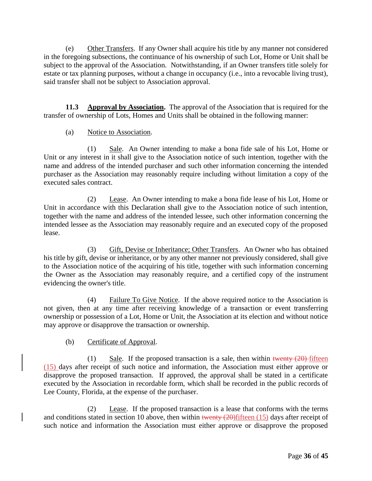(e) Other Transfers. If any Owner shall acquire his title by any manner not considered in the foregoing subsections, the continuance of his ownership of such Lot, Home or Unit shall be subject to the approval of the Association. Notwithstanding, if an Owner transfers title solely for estate or tax planning purposes, without a change in occupancy (i.e., into a revocable living trust), said transfer shall not be subject to Association approval.

**11.3 Approval by Association.** The approval of the Association that is required for the transfer of ownership of Lots, Homes and Units shall be obtained in the following manner:

# (a) Notice to Association.

(1) Sale. An Owner intending to make a bona fide sale of his Lot, Home or Unit or any interest in it shall give to the Association notice of such intention, together with the name and address of the intended purchaser and such other information concerning the intended purchaser as the Association may reasonably require including without limitation a copy of the executed sales contract.

(2) Lease. An Owner intending to make a bona fide lease of his Lot, Home or Unit in accordance with this Declaration shall give to the Association notice of such intention, together with the name and address of the intended lessee, such other information concerning the intended lessee as the Association may reasonably require and an executed copy of the proposed lease.

(3) Gift, Devise or Inheritance; Other Transfers. An Owner who has obtained his title by gift, devise or inheritance, or by any other manner not previously considered, shall give to the Association notice of the acquiring of his title, together with such information concerning the Owner as the Association may reasonably require, and a certified copy of the instrument evidencing the owner's title.

(4) Failure To Give Notice. If the above required notice to the Association is not given, then at any time after receiving knowledge of a transaction or event transferring ownership or possession of a Lot, Home or Unit, the Association at its election and without notice may approve or disapprove the transaction or ownership.

## (b) Certificate of Approval.

(1) Sale. If the proposed transaction is a sale, then within twenty  $(20)$  fifteen (15) days after receipt of such notice and information, the Association must either approve or disapprove the proposed transaction. If approved, the approval shall be stated in a certificate executed by the Association in recordable form, which shall be recorded in the public records of Lee County, Florida, at the expense of the purchaser.

(2) Lease. If the proposed transaction is a lease that conforms with the terms and conditions stated in section 10 above, then within twenty  $(20)$  fifteen  $(15)$  days after receipt of such notice and information the Association must either approve or disapprove the proposed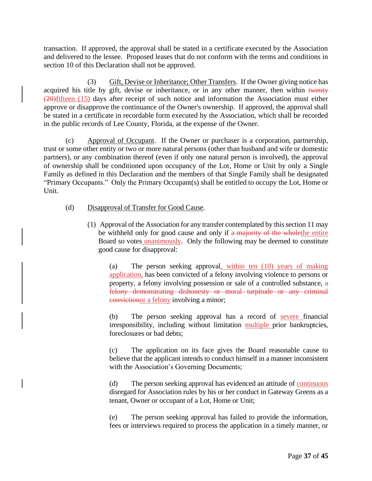transaction. If approved, the approval shall be stated in a certificate executed by the Association and delivered to the lessee. Proposed leases that do not conform with the terms and conditions in section 10 of this Declaration shall not be approved.

(3) Gift, Devise or Inheritance; Other Transfers. If the Owner giving notice has acquired his title by gift, devise or inheritance, or in any other manner, then within twenty (20)fifteen (15) days after receipt of such notice and information the Association must either approve or disapprove the continuance of the Owner's ownership. If approved, the approval shall be stated in a certificate in recordable form executed by the Association, which shall be recorded in the public records of Lee County, Florida, at the expense of the Owner.

(c) Approval of Occupant. If the Owner or purchaser is a corporation, partnership, trust or some other entity or two or more natural persons (other than husband and wife or domestic partners), or any combination thereof (even if only one natural person is involved), the approval of ownership shall be conditioned upon occupancy of the Lot, Home or Unit by only a Single Family as defined in this Declaration and the members of that Single Family shall be designated "Primary Occupants." Only the Primary Occupant(s) shall be entitled to occupy the Lot, Home or Unit.

- (d) Disapproval of Transfer for Good Cause.
	- (1) Approval of the Association for any transfer contemplated by this section 11 may be withheld only for good cause and only if a majority of the whole the entire Board so votes unanimously. Only the following may be deemed to constitute good cause for disapproval:

(a) The person seeking approval, within ten (10) years of making application, has been convicted of a felony involving violence to persons or property, a felony involving possession or sale of a controlled substance, a felony demonstrating dishonesty or moral turpitude or any criminal convictionor a felony involving a minor;

(b) The person seeking approval has a record of severe financial irresponsibility, including without limitation multiple prior bankruptcies, foreclosures or bad debts;

(c) The application on its face gives the Board reasonable cause to believe that the applicant intends to conduct himself in a manner inconsistent with the Association's Governing Documents;

(d) The person seeking approval has evidenced an attitude of <u>continuous</u> disregard for Association rules by his or her conduct in Gateway Greens as a tenant, Owner or occupant of a Lot, Home or Unit;

(e) The person seeking approval has failed to provide the information, fees or interviews required to process the application in a timely manner, or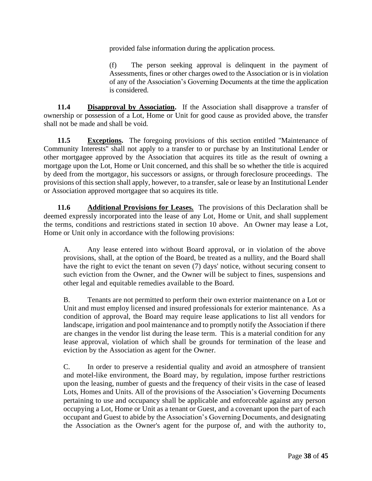provided false information during the application process.

(f) The person seeking approval is delinquent in the payment of Assessments, fines or other charges owed to the Association or is in violation of any of the Association's Governing Documents at the time the application is considered.

**11.4 Disapproval by Association.** If the Association shall disapprove a transfer of ownership or possession of a Lot, Home or Unit for good cause as provided above, the transfer shall not be made and shall be void.

**11.5 Exceptions.** The foregoing provisions of this section entitled "Maintenance of Community Interests" shall not apply to a transfer to or purchase by an Institutional Lender or other mortgagee approved by the Association that acquires its title as the result of owning a mortgage upon the Lot, Home or Unit concerned, and this shall be so whether the title is acquired by deed from the mortgagor, his successors or assigns, or through foreclosure proceedings. The provisions of this section shall apply, however, to a transfer, sale or lease by an Institutional Lender or Association approved mortgagee that so acquires its title.

**11.6 Additional Provisions for Leases.** The provisions of this Declaration shall be deemed expressly incorporated into the lease of any Lot, Home or Unit, and shall supplement the terms, conditions and restrictions stated in section 10 above. An Owner may lease a Lot, Home or Unit only in accordance with the following provisions:

A. Any lease entered into without Board approval, or in violation of the above provisions, shall, at the option of the Board, be treated as a nullity, and the Board shall have the right to evict the tenant on seven (7) days' notice, without securing consent to such eviction from the Owner, and the Owner will be subject to fines, suspensions and other legal and equitable remedies available to the Board.

B. Tenants are not permitted to perform their own exterior maintenance on a Lot or Unit and must employ licensed and insured professionals for exterior maintenance. As a condition of approval, the Board may require lease applications to list all vendors for landscape, irrigation and pool maintenance and to promptly notify the Association if there are changes in the vendor list during the lease term. This is a material condition for any lease approval, violation of which shall be grounds for termination of the lease and eviction by the Association as agent for the Owner.

C. In order to preserve a residential quality and avoid an atmosphere of transient and motel-like environment, the Board may, by regulation, impose further restrictions upon the leasing, number of guests and the frequency of their visits in the case of leased Lots, Homes and Units. All of the provisions of the Association's Governing Documents pertaining to use and occupancy shall be applicable and enforceable against any person occupying a Lot, Home or Unit as a tenant or Guest, and a covenant upon the part of each occupant and Guest to abide by the Association's Governing Documents, and designating the Association as the Owner's agent for the purpose of, and with the authority to,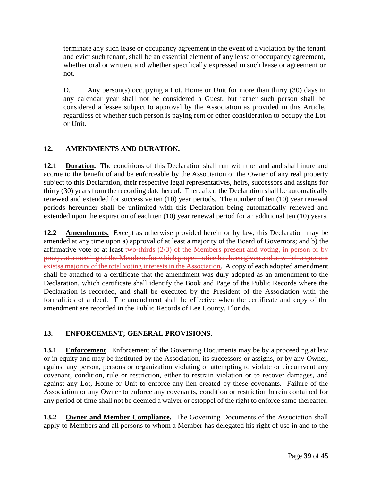terminate any such lease or occupancy agreement in the event of a violation by the tenant and evict such tenant, shall be an essential element of any lease or occupancy agreement, whether oral or written, and whether specifically expressed in such lease or agreement or not.

D. Any person(s) occupying a Lot, Home or Unit for more than thirty (30) days in any calendar year shall not be considered a Guest, but rather such person shall be considered a lessee subject to approval by the Association as provided in this Article, regardless of whether such person is paying rent or other consideration to occupy the Lot or Unit.

# **12. AMENDMENTS AND DURATION.**

**12.1 Duration.** The conditions of this Declaration shall run with the land and shall inure and accrue to the benefit of and be enforceable by the Association or the Owner of any real property subject to this Declaration, their respective legal representatives, heirs, successors and assigns for thirty (30) years from the recording date hereof. Thereafter, the Declaration shall be automatically renewed and extended for successive ten (10) year periods. The number of ten (10) year renewal periods hereunder shall be unlimited with this Declaration being automatically renewed and extended upon the expiration of each ten (10) year renewal period for an additional ten (10) years.

**12.2 Amendments.** Except as otherwise provided herein or by law, this Declaration may be amended at any time upon a) approval of at least a majority of the Board of Governors; and b) the affirmative vote of at least two-thirds  $(2/3)$  of the Members present and voting, in person or by proxy, at a meeting of the Members for which proper notice has been given and at which a quorum existsa majority of the total voting interests in the Association. A copy of each adopted amendment shall be attached to a certificate that the amendment was duly adopted as an amendment to the Declaration, which certificate shall identify the Book and Page of the Public Records where the Declaration is recorded, and shall be executed by the President of the Association with the formalities of a deed. The amendment shall be effective when the certificate and copy of the amendment are recorded in the Public Records of Lee County, Florida.

# **13. ENFORCEMENT; GENERAL PROVISIONS**.

**13.1 Enforcement**. Enforcement of the Governing Documents may be by a proceeding at law or in equity and may be instituted by the Association, its successors or assigns, or by any Owner, against any person, persons or organization violating or attempting to violate or circumvent any covenant, condition, rule or restriction, either to restrain violation or to recover damages, and against any Lot, Home or Unit to enforce any lien created by these covenants. Failure of the Association or any Owner to enforce any covenants, condition or restriction herein contained for any period of time shall not be deemed a waiver or estoppel of the right to enforce same thereafter.

**13.2 Owner and Member Compliance.** The Governing Documents of the Association shall apply to Members and all persons to whom a Member has delegated his right of use in and to the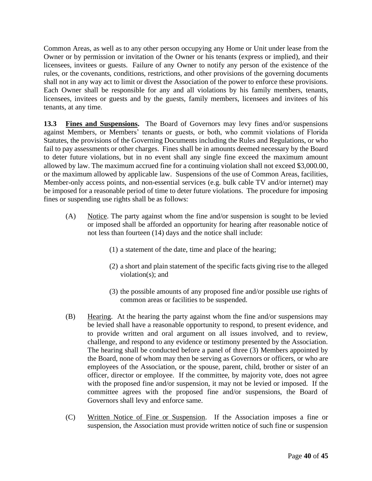Common Areas, as well as to any other person occupying any Home or Unit under lease from the Owner or by permission or invitation of the Owner or his tenants (express or implied), and their licensees, invitees or guests. Failure of any Owner to notify any person of the existence of the rules, or the covenants, conditions, restrictions, and other provisions of the governing documents shall not in any way act to limit or divest the Association of the power to enforce these provisions. Each Owner shall be responsible for any and all violations by his family members, tenants, licensees, invitees or guests and by the guests, family members, licensees and invitees of his tenants, at any time.

**13.3 Fines and Suspensions.** The Board of Governors may levy fines and/or suspensions against Members, or Members' tenants or guests, or both, who commit violations of Florida Statutes, the provisions of the Governing Documents including the Rules and Regulations, or who fail to pay assessments or other charges. Fines shall be in amounts deemed necessary by the Board to deter future violations, but in no event shall any single fine exceed the maximum amount allowed by law. The maximum accrued fine for a continuing violation shall not exceed \$3,000.00, or the maximum allowed by applicable law. Suspensions of the use of Common Areas, facilities, Member-only access points, and non-essential services (e.g. bulk cable TV and/or internet) may be imposed for a reasonable period of time to deter future violations. The procedure for imposing fines or suspending use rights shall be as follows:

- (A) Notice. The party against whom the fine and/or suspension is sought to be levied or imposed shall be afforded an opportunity for hearing after reasonable notice of not less than fourteen (14) days and the notice shall include:
	- (1) a statement of the date, time and place of the hearing;
	- (2) a short and plain statement of the specific facts giving rise to the alleged violation(s); and
	- (3) the possible amounts of any proposed fine and/or possible use rights of common areas or facilities to be suspended.
- (B) Hearing. At the hearing the party against whom the fine and/or suspensions may be levied shall have a reasonable opportunity to respond, to present evidence, and to provide written and oral argument on all issues involved, and to review, challenge, and respond to any evidence or testimony presented by the Association. The hearing shall be conducted before a panel of three (3) Members appointed by the Board, none of whom may then be serving as Governors or officers, or who are employees of the Association, or the spouse, parent, child, brother or sister of an officer, director or employee. If the committee, by majority vote, does not agree with the proposed fine and/or suspension, it may not be levied or imposed. If the committee agrees with the proposed fine and/or suspensions, the Board of Governors shall levy and enforce same.
- (C) Written Notice of Fine or Suspension. If the Association imposes a fine or suspension, the Association must provide written notice of such fine or suspension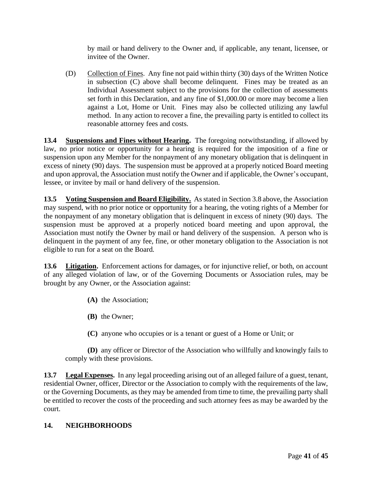by mail or hand delivery to the Owner and, if applicable, any tenant, licensee, or invitee of the Owner.

(D) Collection of Fines. Any fine not paid within thirty (30) days of the Written Notice in subsection (C) above shall become delinquent. Fines may be treated as an Individual Assessment subject to the provisions for the collection of assessments set forth in this Declaration, and any fine of \$1,000.00 or more may become a lien against a Lot, Home or Unit. Fines may also be collected utilizing any lawful method. In any action to recover a fine, the prevailing party is entitled to collect its reasonable attorney fees and costs.

**13.4 Suspensions and Fines without Hearing.** The foregoing notwithstanding, if allowed by law, no prior notice or opportunity for a hearing is required for the imposition of a fine or suspension upon any Member for the nonpayment of any monetary obligation that is delinquent in excess of ninety (90) days. The suspension must be approved at a properly noticed Board meeting and upon approval, the Association must notify the Owner and if applicable, the Owner's occupant, lessee, or invitee by mail or hand delivery of the suspension.

**13.5** Voting Suspension and Board Eligibility. As stated in Section 3.8 above, the Association may suspend, with no prior notice or opportunity for a hearing, the voting rights of a Member for the nonpayment of any monetary obligation that is delinquent in excess of ninety (90) days. The suspension must be approved at a properly noticed board meeting and upon approval, the Association must notify the Owner by mail or hand delivery of the suspension. A person who is delinquent in the payment of any fee, fine, or other monetary obligation to the Association is not eligible to run for a seat on the Board.

13.6 **Litigation.** Enforcement actions for damages, or for injunctive relief, or both, on account of any alleged violation of law, or of the Governing Documents or Association rules, may be brought by any Owner, or the Association against:

- **(A)** the Association;
- **(B)** the Owner;
- **(C)** anyone who occupies or is a tenant or guest of a Home or Unit; or

**(D)** any officer or Director of the Association who willfully and knowingly fails to comply with these provisions.

**13.7 Legal Expenses.** In any legal proceeding arising out of an alleged failure of a guest, tenant, residential Owner, officer, Director or the Association to comply with the requirements of the law, or the Governing Documents, as they may be amended from time to time, the prevailing party shall be entitled to recover the costs of the proceeding and such attorney fees as may be awarded by the court.

## **14. NEIGHBORHOODS**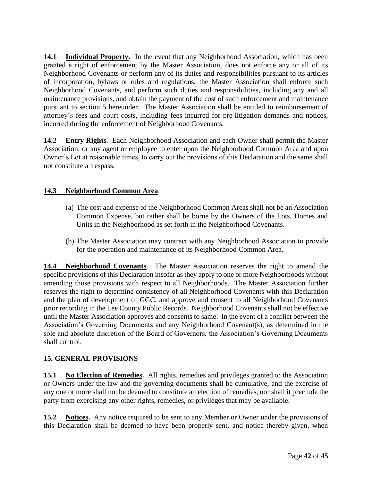14.1 **Individual Property.** In the event that any Neighborhood Association, which has been granted a right of enforcement by the Master Association, does not enforce any or all of its Neighborhood Covenants or perform any of its duties and responsibilities pursuant to its articles of incorporation, bylaws or rules and regulations, the Master Association shall enforce such Neighborhood Covenants, and perform such duties and responsibilities, including any and all maintenance provisions, and obtain the payment of the cost of such enforcement and maintenance pursuant to section 5 hereunder. The Master Association shall be entitled to reimbursement of attorney's fees and court costs, including fees incurred for pre-litigation demands and notices, incurred during the enforcement of Neighborhood Covenants.

**14.2 Entry Rights**. Each Neighborhood Association and each Owner shall permit the Master Association, or any agent or employee to enter upon the Neighborhood Common Area and upon Owner's Lot at reasonable times, to carry out the provisions of this Declaration and the same shall not constitute a trespass.

# **14.3 Neighborhood Common Area**.

- (a) The cost and expense of the Neighborhood Common Areas shall not be an Association Common Expense, but rather shall be borne by the Owners of the Lots, Homes and Units in the Neighborhood as set forth in the Neighborhood Covenants.
- (b) The Master Association may contract with any Neighborhood Association to provide for the operation and maintenance of its Neighborhood Common Area.

**14.4 Neighborhood Covenants**. The Master Association reserves the right to amend the specific provisions of this Declaration insofar as they apply to one or more Neighborhoods without amending those provisions with respect to all Neighborhoods. The Master Association further reserves the right to determine consistency of all Neighborhood Covenants with this Declaration and the plan of development of GGC, and approve and consent to all Neighborhood Covenants prior recording in the Lee County Public Records. Neighborhood Covenants shall not be effective until the Master Association approves and consents to same. In the event of a conflict between the Association's Governing Documents and any Neighborhood Covenant(s), as determined in the sole and absolute discretion of the Board of Governors, the Association's Governing Documents shall control.

## **15. GENERAL PROVISIONS**

**15.1 No Election of Remedies.** All rights, remedies and privileges granted to the Association or Owners under the law and the governing documents shall be cumulative, and the exercise of any one or more shall not be deemed to constitute an election of remedies, nor shall it preclude the party from exercising any other rights, remedies, or privileges that may be available.

**15.2 Notices.** Any notice required to be sent to any Member or Owner under the provisions of this Declaration shall be deemed to have been properly sent, and notice thereby given, when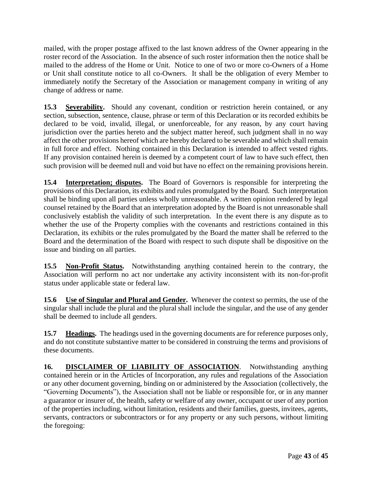mailed, with the proper postage affixed to the last known address of the Owner appearing in the roster record of the Association. In the absence of such roster information then the notice shall be mailed to the address of the Home or Unit. Notice to one of two or more co-Owners of a Home or Unit shall constitute notice to all co-Owners. It shall be the obligation of every Member to immediately notify the Secretary of the Association or management company in writing of any change of address or name.

**15.3 Severability.** Should any covenant, condition or restriction herein contained, or any section, subsection, sentence, clause, phrase or term of this Declaration or its recorded exhibits be declared to be void, invalid, illegal, or unenforceable, for any reason, by any court having jurisdiction over the parties hereto and the subject matter hereof, such judgment shall in no way affect the other provisions hereof which are hereby declared to be severable and which shall remain in full force and effect. Nothing contained in this Declaration is intended to affect vested rights. If any provision contained herein is deemed by a competent court of law to have such effect, then such provision will be deemed null and void but have no effect on the remaining provisions herein.

**15.4 Interpretation; disputes.** The Board of Governors is responsible for interpreting the provisions of this Declaration, its exhibits and rules promulgated by the Board. Such interpretation shall be binding upon all parties unless wholly unreasonable. A written opinion rendered by legal counsel retained by the Board that an interpretation adopted by the Board is not unreasonable shall conclusively establish the validity of such interpretation. In the event there is any dispute as to whether the use of the Property complies with the covenants and restrictions contained in this Declaration, its exhibits or the rules promulgated by the Board the matter shall be referred to the Board and the determination of the Board with respect to such dispute shall be dispositive on the issue and binding on all parties.

**15.5 Non-Profit Status.** Notwithstanding anything contained herein to the contrary, the Association will perform no act nor undertake any activity inconsistent with its non-for-profit status under applicable state or federal law.

**15.6 Use of Singular and Plural and Gender.** Whenever the context so permits, the use of the singular shall include the plural and the plural shall include the singular, and the use of any gender shall be deemed to include all genders.

**15.7 Headings.** The headings used in the governing documents are for reference purposes only, and do not constitute substantive matter to be considered in construing the terms and provisions of these documents.

16. **DISCLAIMER OF LIABILITY OF ASSOCIATION**. Notwithstanding anything contained herein or in the Articles of Incorporation, any rules and regulations of the Association or any other document governing, binding on or administered by the Association (collectively, the "Governing Documents"), the Association shall not be liable or responsible for, or in any manner a guarantor or insurer of, the health, safety or welfare of any owner, occupant or user of any portion of the properties including, without limitation, residents and their families, guests, invitees, agents, servants, contractors or subcontractors or for any property or any such persons, without limiting the foregoing: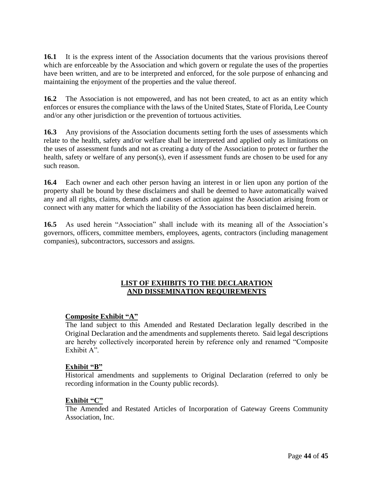**16.1** It is the express intent of the Association documents that the various provisions thereof which are enforceable by the Association and which govern or regulate the uses of the properties have been written, and are to be interpreted and enforced, for the sole purpose of enhancing and maintaining the enjoyment of the properties and the value thereof.

**16.2** The Association is not empowered, and has not been created, to act as an entity which enforces or ensures the compliance with the laws of the United States, State of Florida, Lee County and/or any other jurisdiction or the prevention of tortuous activities.

**16.3** Any provisions of the Association documents setting forth the uses of assessments which relate to the health, safety and/or welfare shall be interpreted and applied only as limitations on the uses of assessment funds and not as creating a duty of the Association to protect or further the health, safety or welfare of any person(s), even if assessment funds are chosen to be used for any such reason.

**16.4** Each owner and each other person having an interest in or lien upon any portion of the property shall be bound by these disclaimers and shall be deemed to have automatically waived any and all rights, claims, demands and causes of action against the Association arising from or connect with any matter for which the liability of the Association has been disclaimed herein.

**16.5** As used herein "Association" shall include with its meaning all of the Association's governors, officers, committee members, employees, agents, contractors (including management companies), subcontractors, successors and assigns.

## **LIST OF EXHIBITS TO THE DECLARATION AND DISSEMINATION REQUIREMENTS**

## **Composite Exhibit "A"**

The land subject to this Amended and Restated Declaration legally described in the Original Declaration and the amendments and supplements thereto. Said legal descriptions are hereby collectively incorporated herein by reference only and renamed "Composite Exhibit A".

## **Exhibit "B"**

Historical amendments and supplements to Original Declaration (referred to only be recording information in the County public records).

#### **Exhibit "C"**

The Amended and Restated Articles of Incorporation of Gateway Greens Community Association, Inc.